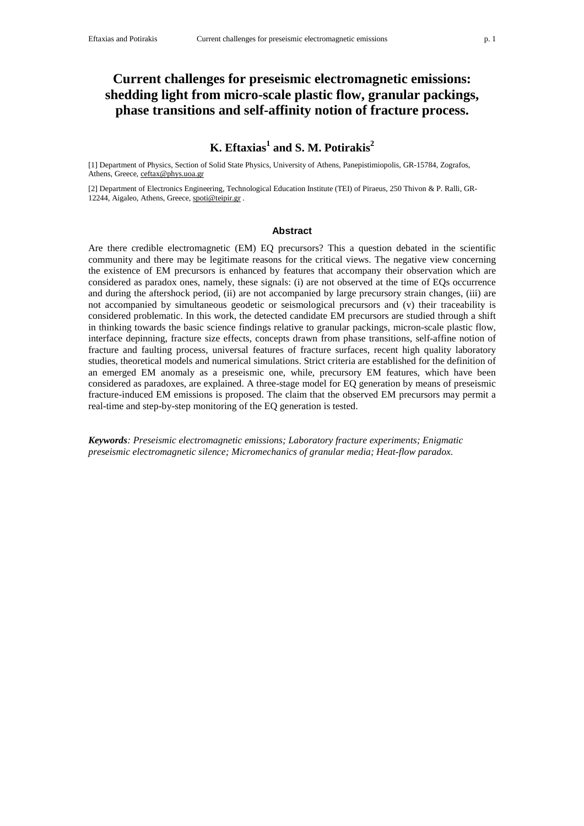# **Current challenges for preseismic electromagnetic emissions: shedding light from micro-scale plastic flow, granular packings, phase transitions and self-affinity notion of fracture process.**

# **K. Eftaxias<sup>1</sup> and S. M. Potirakis<sup>2</sup>**

[1] Department of Physics, Section of Solid State Physics, University of Athens, Panepistimiopolis, GR-15784, Zografos, Athens, Greece, ceftax@phys.uoa.gr

[2] Department of Electronics Engineering, Technological Education Institute (TEI) of Piraeus, 250 Thivon & P. Ralli, GR-12244, Aigaleo, Athens, Greece, spoti@teipir.gr.

#### **Abstract**

Are there credible electromagnetic (EM) EQ precursors? This a question debated in the scientific community and there may be legitimate reasons for the critical views. The negative view concerning the existence of EM precursors is enhanced by features that accompany their observation which are considered as paradox ones, namely, these signals: (i) are not observed at the time of EQs occurrence and during the aftershock period, (ii) are not accompanied by large precursory strain changes, (iii) are not accompanied by simultaneous geodetic or seismological precursors and (v) their traceability is considered problematic. In this work, the detected candidate EM precursors are studied through a shift in thinking towards the basic science findings relative to granular packings, micron-scale plastic flow, interface depinning, fracture size effects, concepts drawn from phase transitions, self-affine notion of fracture and faulting process, universal features of fracture surfaces, recent high quality laboratory studies, theoretical models and numerical simulations. Strict criteria are established for the definition of an emerged EM anomaly as a preseismic one, while, precursory EM features, which have been considered as paradoxes, are explained. A three-stage model for EQ generation by means of preseismic fracture-induced EM emissions is proposed. The claim that the observed EM precursors may permit a real-time and step-by-step monitoring of the EQ generation is tested.

*Keywords: Preseismic electromagnetic emissions; Laboratory fracture experiments; Enigmatic preseismic electromagnetic silence; Micromechanics of granular media; Heat-flow paradox.*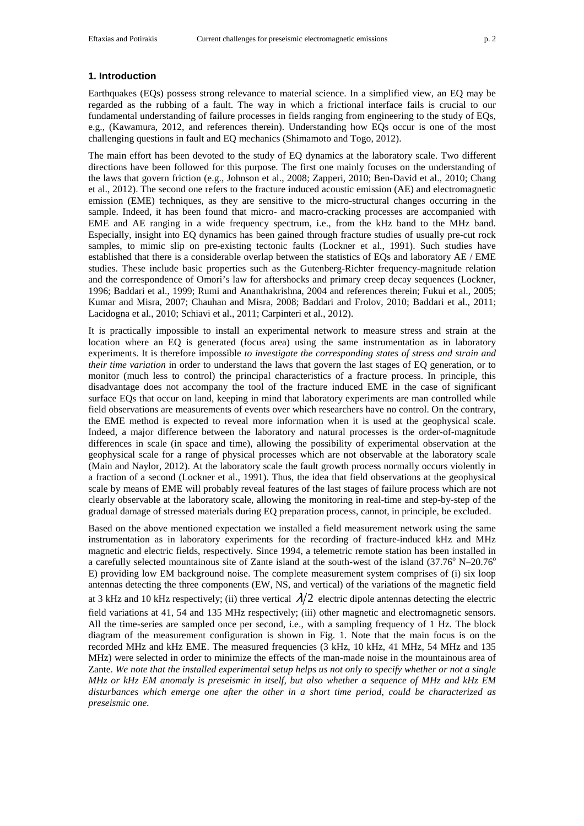## **1. Introduction**

Earthquakes (EQs) possess strong relevance to material science. In a simplified view, an EQ may be regarded as the rubbing of a fault. The way in which a frictional interface fails is crucial to our fundamental understanding of failure processes in fields ranging from engineering to the study of EQs, e.g., (Kawamura, 2012, and references therein). Understanding how EQs occur is one of the most challenging questions in fault and EQ mechanics (Shimamoto and Togo, 2012).

The main effort has been devoted to the study of EQ dynamics at the laboratory scale. Two different directions have been followed for this purpose. The first one mainly focuses on the understanding of the laws that govern friction (e.g., Johnson et al., 2008; Zapperi, 2010; Ben-David et al., 2010; Chang et al., 2012). The second one refers to the fracture induced acoustic emission (AE) and electromagnetic emission (EME) techniques, as they are sensitive to the micro-structural changes occurring in the sample. Indeed, it has been found that micro- and macro-cracking processes are accompanied with EME and AE ranging in a wide frequency spectrum, i.e., from the kHz band to the MHz band. Especially, insight into EQ dynamics has been gained through fracture studies of usually pre-cut rock samples, to mimic slip on pre-existing tectonic faults (Lockner et al., 1991). Such studies have established that there is a considerable overlap between the statistics of EQs and laboratory AE / EME studies. These include basic properties such as the Gutenberg-Richter frequency-magnitude relation and the correspondence of Omori's law for aftershocks and primary creep decay sequences (Lockner, 1996; Baddari et al., 1999; Rumi and Ananthakrishna, 2004 and references therein; Fukui et al., 2005; Kumar and Misra, 2007; Chauhan and Misra, 2008; Baddari and Frolov, 2010; Baddari et al., 2011; Lacidogna et al., 2010; Schiavi et al., 2011; Carpinteri et al., 2012).

It is practically impossible to install an experimental network to measure stress and strain at the location where an EQ is generated (focus area) using the same instrumentation as in laboratory experiments. It is therefore impossible *to investigate the corresponding states of stress and strain and their time variation* in order to understand the laws that govern the last stages of EQ generation, or to monitor (much less to control) the principal characteristics of a fracture process. In principle, this disadvantage does not accompany the tool of the fracture induced EME in the case of significant surface EQs that occur on land, keeping in mind that laboratory experiments are man controlled while field observations are measurements of events over which researchers have no control. On the contrary, the EME method is expected to reveal more information when it is used at the geophysical scale. Indeed, a major difference between the laboratory and natural processes is the order-of-magnitude differences in scale (in space and time), allowing the possibility of experimental observation at the geophysical scale for a range of physical processes which are not observable at the laboratory scale (Main and Naylor, 2012). At the laboratory scale the fault growth process normally occurs violently in a fraction of a second (Lockner et al., 1991). Thus, the idea that field observations at the geophysical scale by means of EME will probably reveal features of the last stages of failure process which are not clearly observable at the laboratory scale, allowing the monitoring in real-time and step-by-step of the gradual damage of stressed materials during EQ preparation process, cannot, in principle, be excluded.

Based on the above mentioned expectation we installed a field measurement network using the same instrumentation as in laboratory experiments for the recording of fracture-induced kHz and MHz magnetic and electric fields, respectively. Since 1994, a telemetric remote station has been installed in a carefully selected mountainous site of Zante island at the south-west of the island  $(37.76^{\circ} N - 20.76^{\circ})$ E) providing low EM background noise. The complete measurement system comprises of (i) six loop antennas detecting the three components (EW, NS, and vertical) of the variations of the magnetic field at 3 kHz and 10 kHz respectively; (ii) three vertical  $\lambda/2$  electric dipole antennas detecting the electric field variations at 41, 54 and 135 MHz respectively; (iii) other magnetic and electromagnetic sensors. All the time-series are sampled once per second, i.e., with a sampling frequency of 1 Hz. The block diagram of the measurement configuration is shown in Fig. 1. Note that the main focus is on the recorded MHz and kHz EME. The measured frequencies (3 kHz, 10 kHz, 41 MHz, 54 MHz and 135 MHz) were selected in order to minimize the effects of the man-made noise in the mountainous area of Zante. *We note that the installed experimental setup helps us not only to specify whether or not a single MHz or kHz EM anomaly is preseismic in itself, but also whether a sequence of MHz and kHz EM disturbances which emerge one after the other in a short time period, could be characterized as preseismic one.*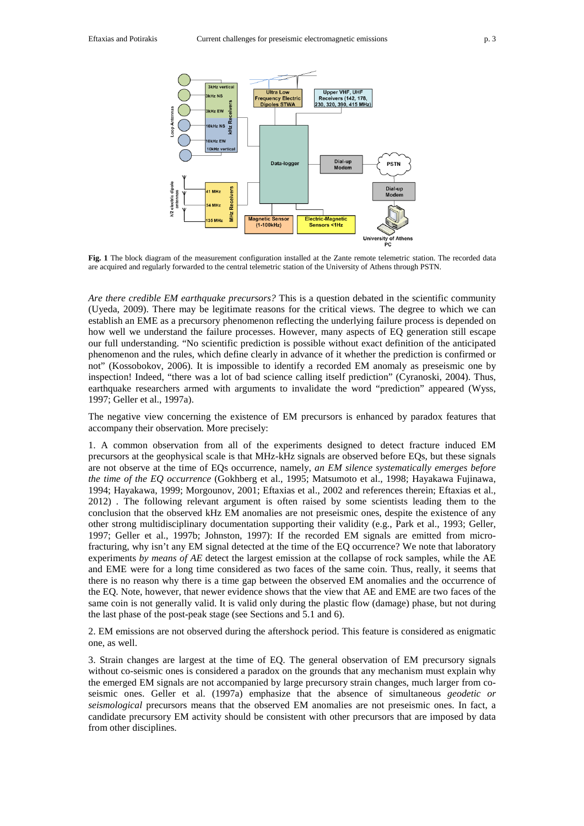

**Fig. 1** The block diagram of the measurement configuration installed at the Zante remote telemetric station. The recorded data are acquired and regularly forwarded to the central telemetric station of the University of Athens through PSTN.

*Are there credible EM earthquake precursors?* This is a question debated in the scientific community (Uyeda, 2009). There may be legitimate reasons for the critical views. The degree to which we can establish an EME as a precursory phenomenon reflecting the underlying failure process is depended on how well we understand the failure processes. However, many aspects of EQ generation still escape our full understanding. "No scientific prediction is possible without exact definition of the anticipated phenomenon and the rules, which define clearly in advance of it whether the prediction is confirmed or not" (Kossobokov, 2006). It is impossible to identify a recorded EM anomaly as preseismic one by inspection! Indeed, "there was a lot of bad science calling itself prediction" (Cyranoski, 2004). Thus, earthquake researchers armed with arguments to invalidate the word "prediction" appeared (Wyss, 1997; Geller et al., 1997a).

The negative view concerning the existence of EM precursors is enhanced by paradox features that accompany their observation*.* More precisely:

1. A common observation from all of the experiments designed to detect fracture induced EM precursors at the geophysical scale is that MHz-kHz signals are observed before EQs, but these signals are not observe at the time of EQs occurrence, namely, *an EM silence systematically emerges before the time of the EQ occurrence* (Gokhberg et al., 1995; Matsumoto et al., 1998; Hayakawa Fujinawa, 1994; Hayakawa, 1999; Morgounov, 2001; Eftaxias et al., 2002 and references therein; Eftaxias et al., 2012) *.* The following relevant argument is often raised by some scientists leading them to the conclusion that the observed kHz EM anomalies are not preseismic ones, despite the existence of any other strong multidisciplinary documentation supporting their validity (e.g., Park et al., 1993; Geller, 1997; Geller et al., 1997b; Johnston, 1997): If the recorded EM signals are emitted from microfracturing, why isn't any EM signal detected at the time of the EQ occurrence? We note that laboratory experiments *by means of AE* detect the largest emission at the collapse of rock samples, while the AE and EME were for a long time considered as two faces of the same coin. Thus, really, it seems that there is no reason why there is a time gap between the observed EM anomalies and the occurrence of the EQ. Note, however, that newer evidence shows that the view that AE and EME are two faces of the same coin is not generally valid. It is valid only during the plastic flow (damage) phase, but not during the last phase of the post-peak stage (see Sections and 5.1 and 6).

2. EM emissions are not observed during the aftershock period. This feature is considered as enigmatic one, as well.

3. Strain changes are largest at the time of EQ. The general observation of EM precursory signals without co-seismic ones is considered a paradox on the grounds that any mechanism must explain why the emerged EM signals are not accompanied by large precursory strain changes, much larger from coseismic ones. Geller et al. (1997a) emphasize that the absence of simultaneous *geodetic or seismological* precursors means that the observed EM anomalies are not preseismic ones. In fact, a candidate precursory EM activity should be consistent with other precursors that are imposed by data from other disciplines.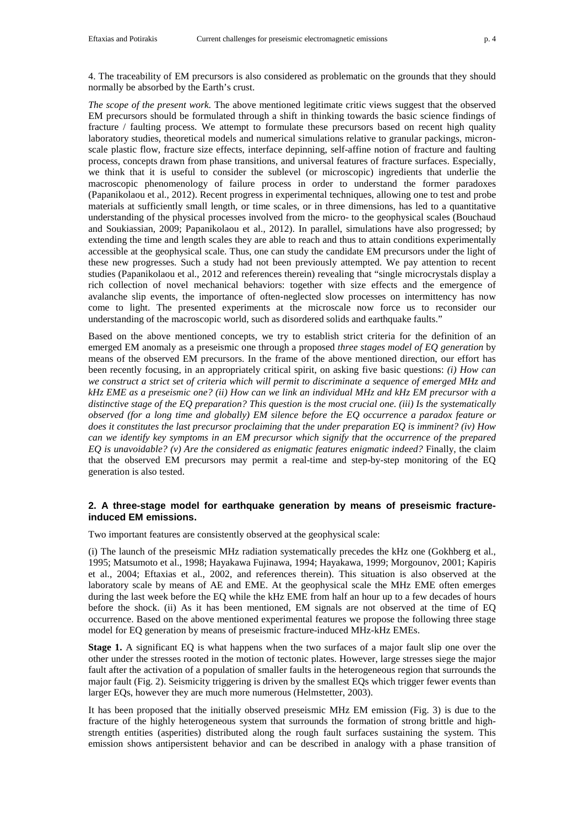4. The traceability of EM precursors is also considered as problematic on the grounds that they should normally be absorbed by the Earth's crust.

*The scope of the present work.* The above mentioned legitimate critic views suggest that the observed EM precursors should be formulated through a shift in thinking towards the basic science findings of fracture / faulting process. We attempt to formulate these precursors based on recent high quality laboratory studies, theoretical models and numerical simulations relative to granular packings, micronscale plastic flow, fracture size effects, interface depinning, self-affine notion of fracture and faulting process, concepts drawn from phase transitions, and universal features of fracture surfaces. Especially, we think that it is useful to consider the sublevel (or microscopic) ingredients that underlie the macroscopic phenomenology of failure process in order to understand the former paradoxes (Papanikolaou et al., 2012). Recent progress in experimental techniques, allowing one to test and probe materials at sufficiently small length, or time scales, or in three dimensions, has led to a quantitative understanding of the physical processes involved from the micro- to the geophysical scales (Bouchaud and Soukiassian, 2009; Papanikolaou et al., 2012). In parallel, simulations have also progressed; by extending the time and length scales they are able to reach and thus to attain conditions experimentally accessible at the geophysical scale. Thus, one can study the candidate EM precursors under the light of these new progresses. Such a study had not been previously attempted. We pay attention to recent studies (Papanikolaou et al., 2012 and references therein) revealing that "single microcrystals display a rich collection of novel mechanical behaviors: together with size effects and the emergence of avalanche slip events, the importance of often-neglected slow processes on intermittency has now come to light. The presented experiments at the microscale now force us to reconsider our understanding of the macroscopic world, such as disordered solids and earthquake faults."

Based on the above mentioned concepts, we try to establish strict criteria for the definition of an emerged EM anomaly as a preseismic one through a proposed *three stages model of EQ generation* by means of the observed EM precursors. In the frame of the above mentioned direction, our effort has been recently focusing, in an appropriately critical spirit, on asking five basic questions: *(i) How can we construct a strict set of criteria which will permit to discriminate a sequence of emerged MHz and kHz EME as a preseismic one? (ii) How can we link an individual MHz and kHz EM precursor with a distinctive stage of the EQ preparation? This question is the most crucial one. (iii) Is the systematically observed (for a long time and globally) EM silence before the EQ occurrence a paradox feature or does it constitutes the last precursor proclaiming that the under preparation EQ is imminent? (iv) How can we identify key symptoms in an EM precursor which signify that the occurrence of the prepared EQ is unavoidable? (v) Are the considered as enigmatic features enigmatic indeed?* Finally, the claim that the observed EM precursors may permit a real-time and step-by-step monitoring of the EQ generation is also tested.

## **2. A three-stage model for earthquake generation by means of preseismic fractureinduced EM emissions.**

Two important features are consistently observed at the geophysical scale:

(i) The launch of the preseismic MHz radiation systematically precedes the kHz one (Gokhberg et al., 1995; Matsumoto et al., 1998; Hayakawa Fujinawa, 1994; Hayakawa, 1999; Morgounov, 2001; Kapiris et al., 2004; Eftaxias et al., 2002, and references therein). This situation is also observed at the laboratory scale by means of AE and EME. At the geophysical scale the MHz EME often emerges during the last week before the EQ while the kHz EME from half an hour up to a few decades of hours before the shock. (ii) As it has been mentioned, EM signals are not observed at the time of EQ occurrence. Based on the above mentioned experimental features we propose the following three stage model for EQ generation by means of preseismic fracture-induced MHz-kHz EMEs.

**Stage 1.** A significant EQ is what happens when the two surfaces of a major fault slip one over the other under the stresses rooted in the motion of tectonic plates. However, large stresses siege the major fault after the activation of a population of smaller faults in the heterogeneous region that surrounds the major fault (Fig. 2). Seismicity triggering is driven by the smallest EQs which trigger fewer events than larger EQs, however they are much more numerous (Helmstetter, 2003).

It has been proposed that the initially observed preseismic MHz EM emission (Fig. 3) is due to the fracture of the highly heterogeneous system that surrounds the formation of strong brittle and highstrength entities (asperities) distributed along the rough fault surfaces sustaining the system. This emission shows antipersistent behavior and can be described in analogy with a phase transition of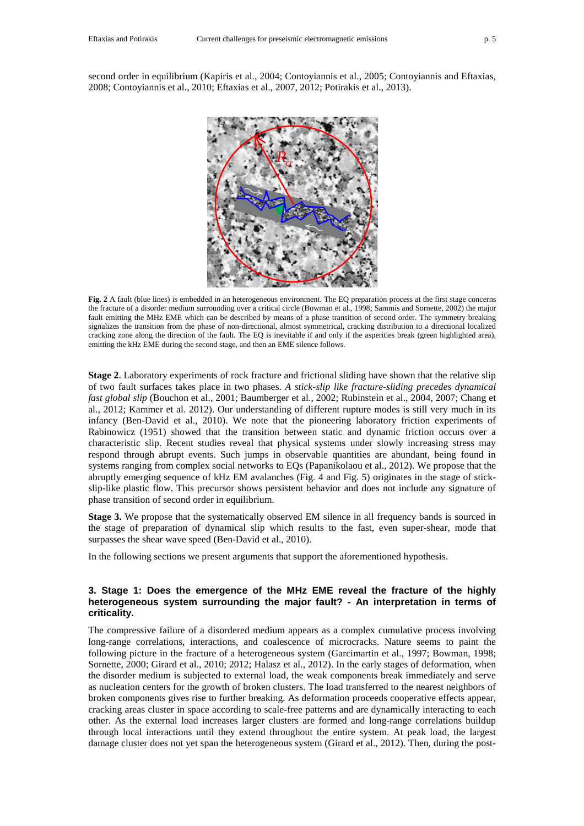second order in equilibrium (Kapiris et al., 2004; Contoyiannis et al., 2005; Contoyiannis and Eftaxias, 2008; Contoyiannis et al., 2010; Eftaxias et al., 2007, 2012; Potirakis et al., 2013).



**Fig. 2** A fault (blue lines) is embedded in an heterogeneous environment. The EQ preparation process at the first stage concerns the fracture of a disorder medium surrounding over a critical circle (Bowman et al., 1998; Sammis and Sornette, 2002) the major fault emitting the MHz EME which can be described by means of a phase transition of second order. The symmetry breaking signalizes the transition from the phase of non-directional, almost symmetrical, cracking distribution to a directional localized cracking zone along the direction of the fault. The EQ is inevitable if and only if the asperities break (green highlighted area), emitting the kHz EME during the second stage, and then an EME silence follows.

**Stage 2**. Laboratory experiments of rock fracture and frictional sliding have shown that the relative slip of two fault surfaces takes place in two phases. *A stick-slip like fracture-sliding precedes dynamical fast global slip* (Bouchon et al., 2001; Baumberger et al., 2002; Rubinstein et al., 2004, 2007; Chang et al., 2012; Kammer et al. 2012). Our understanding of different rupture modes is still very much in its infancy (Ben-David et al., 2010). We note that the pioneering laboratory friction experiments of Rabinowicz (1951) showed that the transition between static and dynamic friction occurs over a characteristic slip. Recent studies reveal that physical systems under slowly increasing stress may respond through abrupt events. Such jumps in observable quantities are abundant, being found in systems ranging from complex social networks to EQs (Papanikolaou et al., 2012). We propose that the abruptly emerging sequence of kHz EM avalanches (Fig. 4 and Fig. 5) originates in the stage of stickslip-like plastic flow. This precursor shows persistent behavior and does not include any signature of phase transition of second order in equilibrium.

**Stage 3.** We propose that the systematically observed EM silence in all frequency bands is sourced in the stage of preparation of dynamical slip which results to the fast, even super-shear, mode that surpasses the shear wave speed (Ben-David et al., 2010).

In the following sections we present arguments that support the aforementioned hypothesis.

## **3. Stage 1: Does the emergence of the MHz EME reveal the fracture of the highly heterogeneous system surrounding the major fault? - An interpretation in terms of criticality.**

The compressive failure of a disordered medium appears as a complex cumulative process involving long-range correlations, interactions, and coalescence of microcracks. Nature seems to paint the following picture in the fracture of a heterogeneous system (Garcimartin et al., 1997; Bowman, 1998; Sornette, 2000; Girard et al., 2010; 2012; Halasz et al., 2012). In the early stages of deformation, when the disorder medium is subjected to external load, the weak components break immediately and serve as nucleation centers for the growth of broken clusters. The load transferred to the nearest neighbors of broken components gives rise to further breaking. As deformation proceeds cooperative effects appear, cracking areas cluster in space according to scale-free patterns and are dynamically interacting to each other. As the external load increases larger clusters are formed and long-range correlations buildup through local interactions until they extend throughout the entire system. At peak load, the largest damage cluster does not yet span the heterogeneous system (Girard et al., 2012). Then, during the post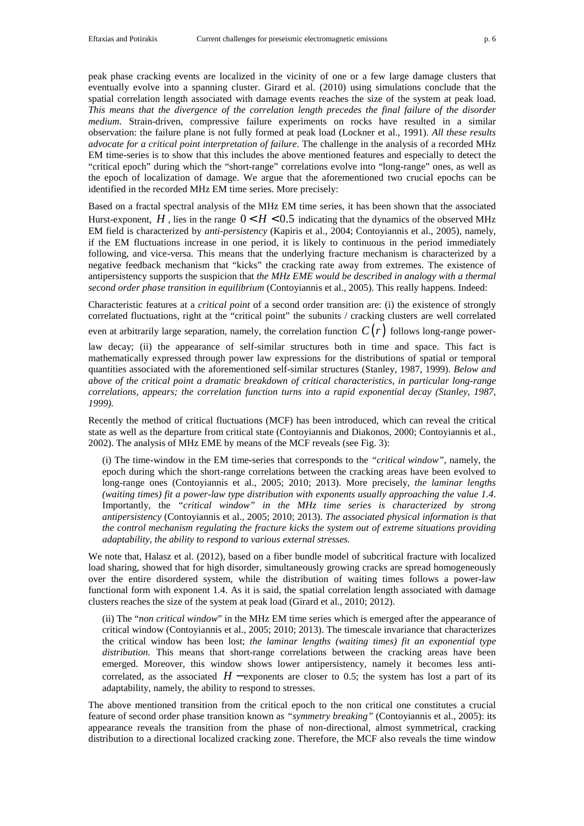peak phase cracking events are localized in the vicinity of one or a few large damage clusters that eventually evolve into a spanning cluster. Girard et al. (2010) using simulations conclude that the spatial correlation length associated with damage events reaches the size of the system at peak load. *This means that the divergence of the correlation length precedes the final failure of the disorder medium.* Strain-driven, compressive failure experiments on rocks have resulted in a similar observation: the failure plane is not fully formed at peak load (Lockner et al., 1991). *All these results advocate for a critical point interpretation of failure*. The challenge in the analysis of a recorded MHz EM time-series is to show that this includes the above mentioned features and especially to detect the "critical epoch" during which the "short-range" correlations evolve into "long-range" ones, as well as the epoch of localization of damage. We argue that the aforementioned two crucial epochs can be identified in the recorded MHz EM time series. More precisely:

Based on a fractal spectral analysis of the MHz EM time series, it has been shown that the associated Hurst-exponent,  $H$ , lies in the range  $0 < H < 0.5$  indicating that the dynamics of the observed MHz EM field is characterized by *anti-persistency* (Kapiris et al., 2004; Contoyiannis et al., 2005), namely, if the EM fluctuations increase in one period, it is likely to continuous in the period immediately following, and vice-versa. This means that the underlying fracture mechanism is characterized by a negative feedback mechanism that "kicks" the cracking rate away from extremes. The existence of antipersistency supports the suspicion that *the MHz EME would be described in analogy with a thermal second order phase transition in equilibrium* (Contoyiannis et al., 2005). This really happens. Indeed:

Characteristic features at a *critical point* of a second order transition are: (i) the existence of strongly correlated fluctuations, right at the "critical point" the subunits / cracking clusters are well correlated

even at arbitrarily large separation, namely, the correlation function  $C(r)$  follows long-range power-

law decay; (ii) the appearance of self-similar structures both in time and space. This fact is mathematically expressed through power law expressions for the distributions of spatial or temporal quantities associated with the aforementioned self-similar structures (Stanley, 1987, 1999). *Below and above of the critical point a dramatic breakdown of critical characteristics, in particular long-range correlations, appears; the correlation function turns into a rapid exponential decay (Stanley, 1987, 1999).*

Recently the method of critical fluctuations (MCF) has been introduced, which can reveal the critical state as well as the departure from critical state (Contoyiannis and Diakonos, 2000; Contoyiannis et al., 2002). The analysis of MHz EME by means of the MCF reveals (see Fig. 3):

(i) The time-window in the EM time-series that corresponds to the *"critical window",* namely, the epoch during which the short-range correlations between the cracking areas have been evolved to long-range ones (Contoyiannis et al., 2005; 2010; 2013). More precisely, *the laminar lengths (waiting times) fit a power-law type distribution with exponents usually approaching the value 1.4*. Importantly, the *"critical window" in the MHz time series is characterized by strong antipersistency* (Contoyiannis et al., 2005; 2010; 2013). *The associated physical information is that the control mechanism regulating the fracture kicks the system out of extreme situations providing adaptability, the ability to respond to various external stresses.*

We note that, Halasz et al. (2012), based on a fiber bundle model of subcritical fracture with localized load sharing, showed that for high disorder, simultaneously growing cracks are spread homogeneously over the entire disordered system, while the distribution of waiting times follows a power-law functional form with exponent 1.4. As it is said, the spatial correlation length associated with damage clusters reaches the size of the system at peak load (Girard et al., 2010; 2012).

(ii) The "*non critical window*" in the MHz EM time series which is emerged after the appearance of critical window (Contoyiannis et al., 2005; 2010; 2013). The timescale invariance that characterizes the critical window has been lost; *the laminar lengths (waiting times) fit an exponential type distribution.* This means that short-range correlations between the cracking areas have been emerged. Moreover, this window shows lower antipersistency, namely it becomes less anticorrelated, as the associated  $H$  − exponents are closer to 0.5; the system has lost a part of its adaptability, namely, the ability to respond to stresses.

The above mentioned transition from the critical epoch to the non critical one constitutes a crucial feature of second order phase transition known as *"symmetry breaking"* (Contoyiannis et al., 2005): its appearance reveals the transition from the phase of non-directional, almost symmetrical, cracking distribution to a directional localized cracking zone. Therefore, the MCF also reveals the time window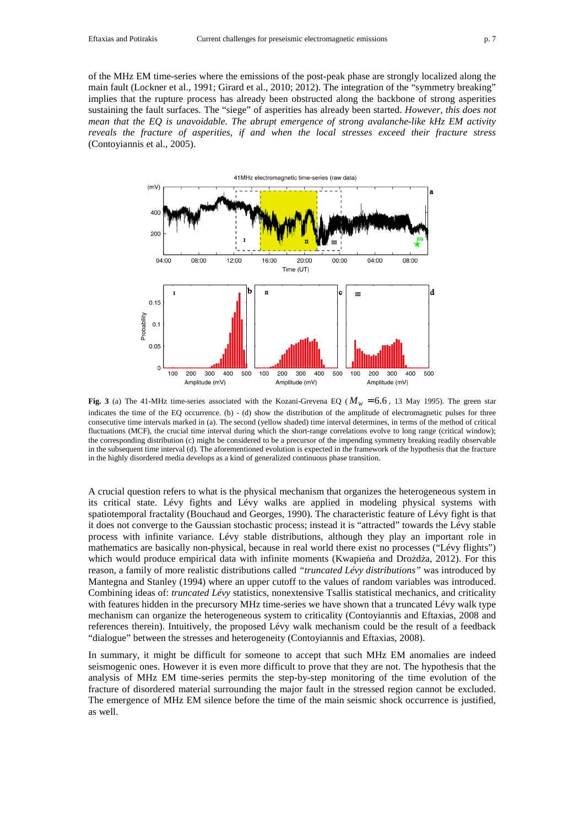of the MHz EM time-series where the emissions of the post-peak phase are strongly localized along the main fault (Lockner et al., 1991; Girard et al., 2010; 2012). The integration of the "symmetry breaking" implies that the rupture process has already been obstructed along the backbone of strong asperities sustaining the fault surfaces. The "siege" of asperities has already been started. *However, this does not mean that the EQ is unavoidable. The abrupt emergence of strong avalanche-like kHz EM activity reveals the fracture of asperities, if and when the local stresses exceed their fracture stress* (Contoyiannis et al., 2005).



**Fig. 3** (a) The 41-MHz time-series associated with the Kozani-Grevena EQ ( $M_W = 6.6$ , 13 May 1995). The green star indicates the time of the EQ occurrence. (b) - (d) show the distribution of the amplitude of electromagnetic pulses for three consecutive time intervals marked in (a). The second (yellow shaded) time interval determines, in terms of the method of critical fluctuations (MCF), the crucial time interval during which the short-range correlations evolve to long range (critical window); the corresponding distribution (c) might be considered to be a precursor of the impending symmetry breaking readily observable in the subsequent time interval (d). The aforementioned evolution is expected in the framework of the hypothesis that the fracture in the highly disordered media develops as a kind of generalized continuous phase transition.

A crucial question refers to what is the physical mechanism that organizes the heterogeneous system in its critical state. Lévy fights and Lévy walks are applied in modeling physical systems with spatiotemporal fractality (Bouchaud and Georges, 1990). The characteristic feature of Lévy fight is that it does not converge to the Gaussian stochastic process; instead it is "attracted" towards the Lévy stable process with infinite variance. Lévy stable distributions, although they play an important role in mathematics are basically non-physical, because in real world there exist no processes ("Lévy flights") which would produce empirical data with infinite moments (Kwapieńa and Drożdża, 2012). For this reason, a family of more realistic distributions called *"truncated Lévy distributions"* was introduced by Mantegna and Stanley (1994) where an upper cutoff to the values of random variables was introduced. Combining ideas of: *truncated Lévy* statistics, nonextensive Tsallis statistical mechanics, and criticality with features hidden in the precursory MHz time-series we have shown that a truncated Lévy walk type mechanism can organize the heterogeneous system to criticality (Contoyiannis and Eftaxias, 2008 and references therein). Intuitively, the proposed Lévy walk mechanism could be the result of a feedback "dialogue" between the stresses and heterogeneity (Contoyiannis and Eftaxias, 2008).

In summary, it might be difficult for someone to accept that such MHz EM anomalies are indeed seismogenic ones. However it is even more difficult to prove that they are not. The hypothesis that the analysis of MHz EM time-series permits the step-by-step monitoring of the time evolution of the fracture of disordered material surrounding the major fault in the stressed region cannot be excluded. The emergence of MHz EM silence before the time of the main seismic shock occurrence is justified, as well.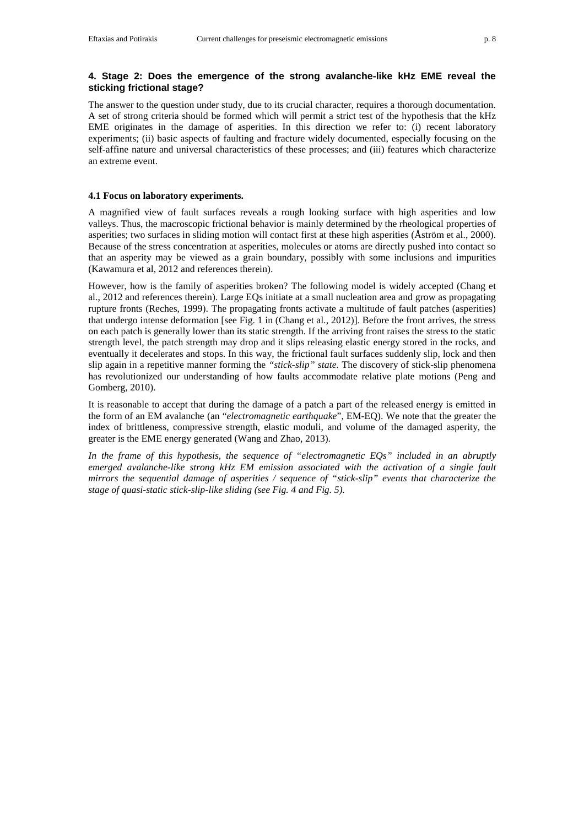# **4. Stage 2: Does the emergence of the strong avalanche-like kHz EME reveal the sticking frictional stage?**

The answer to the question under study, due to its crucial character, requires a thorough documentation. A set of strong criteria should be formed which will permit a strict test of the hypothesis that the kHz EME originates in the damage of asperities. In this direction we refer to: (i) recent laboratory experiments; (ii) basic aspects of faulting and fracture widely documented, especially focusing on the self-affine nature and universal characteristics of these processes; and (iii) features which characterize an extreme event.

### **4.1 Focus on laboratory experiments.**

A magnified view of fault surfaces reveals a rough looking surface with high asperities and low valleys. Thus, the macroscopic frictional behavior is mainly determined by the rheological properties of asperities; two surfaces in sliding motion will contact first at these high asperities (Åström et al., 2000). Because of the stress concentration at asperities, molecules or atoms are directly pushed into contact so that an asperity may be viewed as a grain boundary, possibly with some inclusions and impurities (Kawamura et al, 2012 and references therein).

However, how is the family of asperities broken? The following model is widely accepted (Chang et al., 2012 and references therein). Large EQs initiate at a small nucleation area and grow as propagating rupture fronts (Reches, 1999). The propagating fronts activate a multitude of fault patches (asperities) that undergo intense deformation [see Fig. 1 in (Chang et al., 2012)]. Before the front arrives, the stress on each patch is generally lower than its static strength. If the arriving front raises the stress to the static strength level, the patch strength may drop and it slips releasing elastic energy stored in the rocks, and eventually it decelerates and stops. In this way, the frictional fault surfaces suddenly slip, lock and then slip again in a repetitive manner forming the *"stick-slip" state.* The discovery of stick-slip phenomena has revolutionized our understanding of how faults accommodate relative plate motions (Peng and Gomberg, 2010).

It is reasonable to accept that during the damage of a patch a part of the released energy is emitted in the form of an EM avalanche (an "*electromagnetic earthquake*", EM-EQ). We note that the greater the index of brittleness, compressive strength, elastic moduli, and volume of the damaged asperity, the greater is the EME energy generated (Wang and Zhao, 2013).

*In the frame of this hypothesis, the sequence of "electromagnetic EQs" included in an abruptly emerged avalanche-like strong kHz EM emission associated with the activation of a single fault mirrors the sequential damage of asperities / sequence of "stick-slip" events that characterize the stage of quasi-static stick-slip-like sliding (see Fig. 4 and Fig. 5).*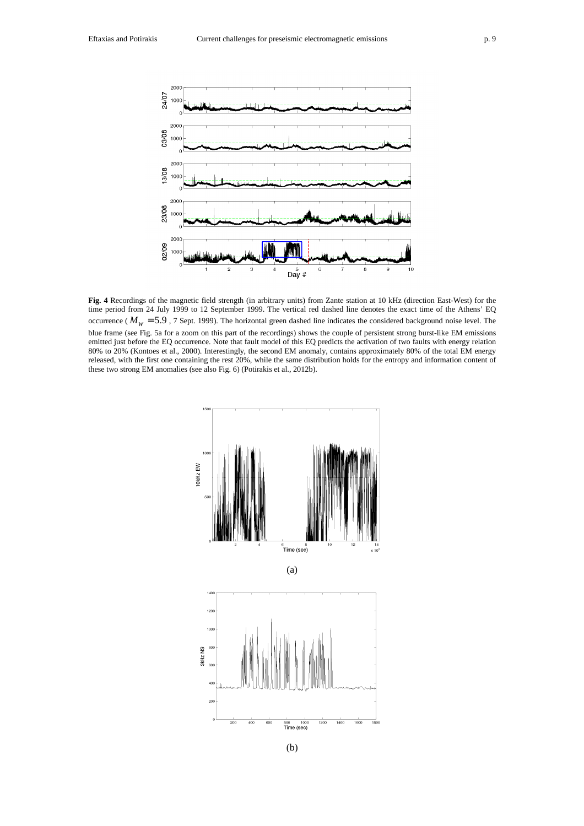

**Fig. 4** Recordings of the magnetic field strength (in arbitrary units) from Zante station at 10 kHz (direction East-West) for the time period from 24 July 1999 to 12 September 1999. The vertical red dashed line denotes the exact time of the Athens' EQ occurrence ( $M_W = 5.9$ , 7 Sept. 1999). The horizontal green dashed line indicates the considered background noise level. The blue frame (see Fig. 5a for a zoom on this part of the recordings) shows the couple of persistent strong burst-like EM emissions emitted just before the EQ occurrence. Note that fault model of this EQ predicts the activation of two faults with energy relation 80% to 20% (Kontoes et al., 2000). Interestingly, the second EM anomaly, contains approximately 80% of the total EM energy released, with the first one containing the rest 20%, while the same distribution holds for the entropy and information content of these two strong EM anomalies (see also Fig. 6) (Potirakis et al., 2012b).

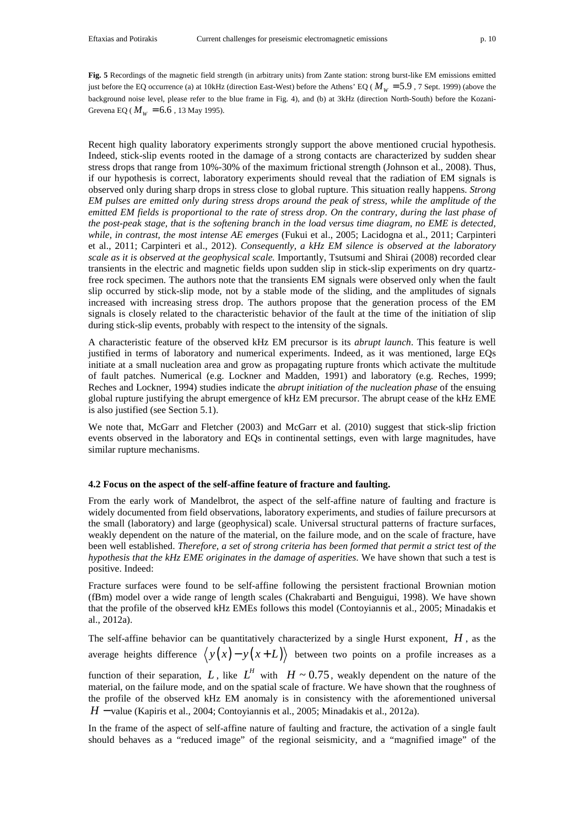**Fig. 5** Recordings of the magnetic field strength (in arbitrary units) from Zante station: strong burst-like EM emissions emitted just before the EQ occurrence (a) at 10kHz (direction East-West) before the Athens' EQ ( $M_W = 5.9$ , 7 Sept. 1999) (above the background noise level, please refer to the blue frame in Fig. 4), and (b) at 3kHz (direction North-South) before the Kozani-Grevena EQ ( $M_w = 6.6$ , 13 May 1995).

Recent high quality laboratory experiments strongly support the above mentioned crucial hypothesis. Indeed, stick-slip events rooted in the damage of a strong contacts are characterized by sudden shear stress drops that range from 10%-30% of the maximum frictional strength (Johnson et al., 2008). Thus, if our hypothesis is correct, laboratory experiments should reveal that the radiation of EM signals is observed only during sharp drops in stress close to global rupture. This situation really happens. *Strong EM pulses are emitted only during stress drops around the peak of stress, while the amplitude of the emitted EM fields is proportional to the rate of stress drop. On the contrary, during the last phase of the post-peak stage, that is the softening branch in the load versus time diagram, no EME is detected, while, in contrast, the most intense AE emerges* (Fukui et al., 2005; Lacidogna et al., 2011; Carpinteri et al., 2011; Carpinteri et al., 2012). *Consequently, a kHz EM silence is observed at the laboratory scale as it is observed at the geophysical scale.* Importantly, Tsutsumi and Shirai (2008) recorded clear transients in the electric and magnetic fields upon sudden slip in stick-slip experiments on dry quartzfree rock specimen. The authors note that the transients EM signals were observed only when the fault slip occurred by stick-slip mode, not by a stable mode of the sliding, and the amplitudes of signals increased with increasing stress drop. The authors propose that the generation process of the EM signals is closely related to the characteristic behavior of the fault at the time of the initiation of slip during stick-slip events, probably with respect to the intensity of the signals.

A characteristic feature of the observed kHz EM precursor is its *abrupt launch*. This feature is well justified in terms of laboratory and numerical experiments. Indeed, as it was mentioned, large EQs initiate at a small nucleation area and grow as propagating rupture fronts which activate the multitude of fault patches. Numerical (e.g. Lockner and Madden, 1991) and laboratory (e.g. Reches, 1999; Reches and Lockner, 1994) studies indicate the *abrupt initiation of the nucleation phase* of the ensuing global rupture justifying the abrupt emergence of kHz EM precursor. The abrupt cease of the kHz EME is also justified (see Section 5.1).

We note that, McGarr and Fletcher (2003) and McGarr et al. (2010) suggest that stick-slip friction events observed in the laboratory and EQs in continental settings, even with large magnitudes, have similar rupture mechanisms.

#### **4.2 Focus on the aspect of the self-affine feature of fracture and faulting.**

From the early work of Mandelbrot, the aspect of the self-affine nature of faulting and fracture is widely documented from field observations, laboratory experiments, and studies of failure precursors at the small (laboratory) and large (geophysical) scale. Universal structural patterns of fracture surfaces, weakly dependent on the nature of the material, on the failure mode, and on the scale of fracture, have been well established. *Therefore, a set of strong criteria has been formed that permit a strict test of the hypothesis that the kHz EME originates in the damage of asperities*. We have shown that such a test is positive. Indeed:

Fracture surfaces were found to be self-affine following the persistent fractional Brownian motion (fBm) model over a wide range of length scales (Chakrabarti and Benguigui, 1998). We have shown that the profile of the observed kHz EMEs follows this model (Contoyiannis et al., 2005; Minadakis et al., 2012a).

The self-affine behavior can be quantitatively characterized by a single Hurst exponent,  $H$ , as the average heights difference  $\langle y(x) - y(x + L) \rangle$  between two points on a profile increases as a

function of their separation, L, like  $L^H$  with  $H \sim 0.75$ , weakly dependent on the nature of the material, on the failure mode, and on the spatial scale of fracture. We have shown that the roughness of the profile of the observed kHz EM anomaly is in consistency with the aforementioned universal *H* − value (Kapiris et al., 2004; Contoyiannis et al., 2005; Minadakis et al., 2012a).

In the frame of the aspect of self-affine nature of faulting and fracture, the activation of a single fault should behaves as a "reduced image" of the regional seismicity, and a "magnified image" of the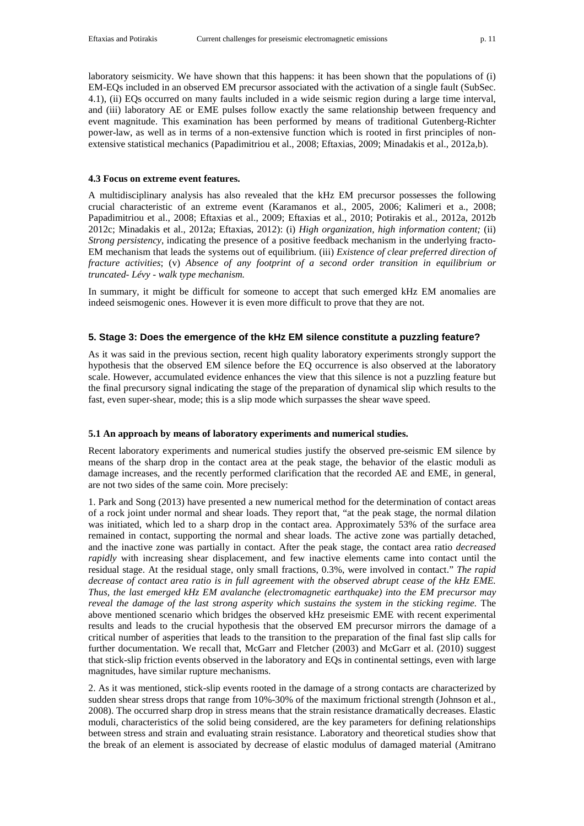laboratory seismicity. We have shown that this happens: it has been shown that the populations of (i) EM-EQs included in an observed EM precursor associated with the activation of a single fault (SubSec. 4.1), (ii) EQs occurred on many faults included in a wide seismic region during a large time interval, and (iii) laboratory AE or EME pulses follow exactly the same relationship between frequency and event magnitude. This examination has been performed by means of traditional Gutenberg-Richter power-law, as well as in terms of a non-extensive function which is rooted in first principles of nonextensive statistical mechanics (Papadimitriou et al., 2008; Eftaxias, 2009; Minadakis et al., 2012a,b).

#### **4.3 Focus on extreme event features.**

A multidisciplinary analysis has also revealed that the kHz EM precursor possesses the following crucial characteristic of an extreme event (Karamanos et al., 2005, 2006; Kalimeri et a., 2008; Papadimitriou et al., 2008; Eftaxias et al., 2009; Eftaxias et al., 2010; Potirakis et al., 2012a, 2012b 2012c; Minadakis et al., 2012a; Eftaxias, 2012): (i) *High organization, high information content;* (ii) *Strong persistency*, indicating the presence of a positive feedback mechanism in the underlying fracto-EM mechanism that leads the systems out of equilibrium. (iii) *Existence of clear preferred direction of fracture activities*; (v) *Absence of any footprint of a second order transition in equilibrium or truncated- Lévy - walk type mechanism.* 

In summary, it might be difficult for someone to accept that such emerged kHz EM anomalies are indeed seismogenic ones. However it is even more difficult to prove that they are not.

## **5. Stage 3: Does the emergence of the kHz EM silence constitute a puzzling feature?**

As it was said in the previous section, recent high quality laboratory experiments strongly support the hypothesis that the observed EM silence before the EQ occurrence is also observed at the laboratory scale. However, accumulated evidence enhances the view that this silence is not a puzzling feature but the final precursory signal indicating the stage of the preparation of dynamical slip which results to the fast, even super-shear, mode; this is a slip mode which surpasses the shear wave speed.

### **5.1 An approach by means of laboratory experiments and numerical studies.**

Recent laboratory experiments and numerical studies justify the observed pre-seismic EM silence by means of the sharp drop in the contact area at the peak stage, the behavior of the elastic moduli as damage increases, and the recently performed clarification that the recorded AE and EME, in general, are not two sides of the same coin*.* More precisely:

1. Park and Song (2013) have presented a new numerical method for the determination of contact areas of a rock joint under normal and shear loads. They report that, "at the peak stage, the normal dilation was initiated, which led to a sharp drop in the contact area. Approximately 53% of the surface area remained in contact, supporting the normal and shear loads. The active zone was partially detached, and the inactive zone was partially in contact. After the peak stage, the contact area ratio *decreased rapidly* with increasing shear displacement, and few inactive elements came into contact until the residual stage. At the residual stage, only small fractions, 0.3%, were involved in contact." *The rapid decrease of contact area ratio is in full agreement with the observed abrupt cease of the kHz EME. Thus, the last emerged kHz EM avalanche (electromagnetic earthquake) into the EM precursor may reveal the damage of the last strong asperity which sustains the system in the sticking regime.* The above mentioned scenario which bridges the observed kHz preseismic EME with recent experimental results and leads to the crucial hypothesis that the observed EM precursor mirrors the damage of a critical number of asperities that leads to the transition to the preparation of the final fast slip calls for further documentation. We recall that, McGarr and Fletcher (2003) and McGarr et al. (2010) suggest that stick-slip friction events observed in the laboratory and EQs in continental settings, even with large magnitudes, have similar rupture mechanisms.

2. As it was mentioned, stick-slip events rooted in the damage of a strong contacts are characterized by sudden shear stress drops that range from 10%-30% of the maximum frictional strength (Johnson et al., 2008). The occurred sharp drop in stress means that the strain resistance dramatically decreases. Elastic moduli, characteristics of the solid being considered, are the key parameters for defining relationships between stress and strain and evaluating strain resistance. Laboratory and theoretical studies show that the break of an element is associated by decrease of elastic modulus of damaged material (Amitrano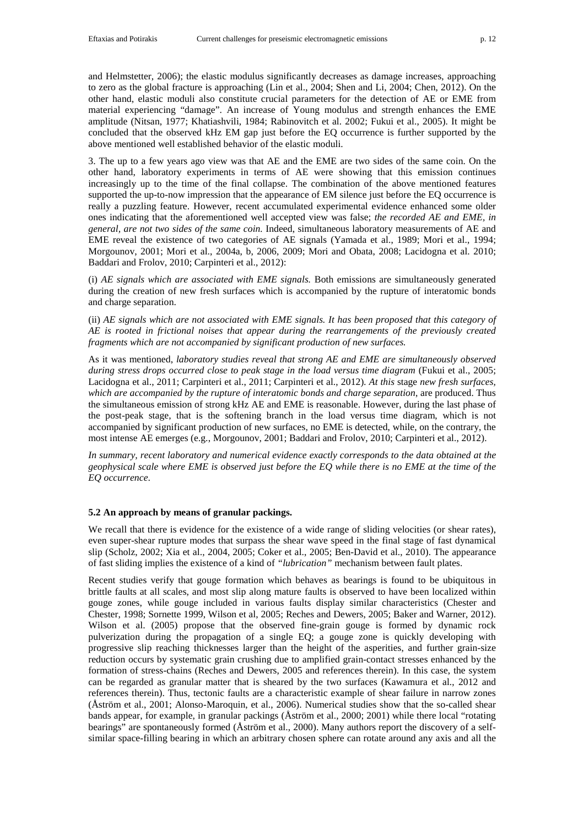and Helmstetter, 2006); the elastic modulus significantly decreases as damage increases, approaching to zero as the global fracture is approaching (Lin et al., 2004; Shen and Li, 2004; Chen, 2012). On the other hand, elastic moduli also constitute crucial parameters for the detection of AE or EME from material experiencing "damage". An increase of Young modulus and strength enhances the EME amplitude (Nitsan, 1977; Khatiashvili, 1984; Rabinovitch et al. 2002; Fukui et al., 2005). It might be concluded that the observed kHz EM gap just before the EQ occurrence is further supported by the above mentioned well established behavior of the elastic moduli.

3. The up to a few years ago view was that AE and the EME are two sides of the same coin. On the other hand, laboratory experiments in terms of AE were showing that this emission continues increasingly up to the time of the final collapse. The combination of the above mentioned features supported the up-to-now impression that the appearance of EM silence just before the EQ occurrence is really a puzzling feature. However, recent accumulated experimental evidence enhanced some older ones indicating that the aforementioned well accepted view was false; *the recorded AE and EME, in general, are not two sides of the same coin.* Indeed, simultaneous laboratory measurements of AE and EME reveal the existence of two categories of AE signals (Yamada et al., 1989; Mori et al., 1994; Morgounov, 2001; Mori et al., 2004a, b, 2006, 2009; Mori and Obata, 2008; Lacidogna et al. 2010; Baddari and Frolov, 2010; Carpinteri et al., 2012):

(i) *AE signals which are associated with EME signals.* Both emissions are simultaneously generated during the creation of new fresh surfaces which is accompanied by the rupture of interatomic bonds and charge separation.

(ii) *AE signals which are not associated with EME signals. It has been proposed that this category of AE is rooted in frictional noises that appear during the rearrangements of the previously created fragments which are not accompanied by significant production of new surfaces.*

As it was mentioned, *laboratory studies reveal that strong AE and EME are simultaneously observed*  during stress drops occurred close to peak stage in the load versus time diagram (Fukui et al., 2005; Lacidogna et al., 2011; Carpinteri et al., 2011; Carpinteri et al., 2012)*. At this* stage *new fresh surfaces, which are accompanied by the rupture of interatomic bonds and charge separation*, are produced. Thus the simultaneous emission of strong kHz AE and EME is reasonable. However, during the last phase of the post-peak stage, that is the softening branch in the load versus time diagram, which is not accompanied by significant production of new surfaces*,* no EME is detected, while, on the contrary, the most intense AE emerges (e.g., Morgounov, 2001; Baddari and Frolov, 2010; Carpinteri et al., 2012).

*In summary, recent laboratory and numerical evidence exactly corresponds to the data obtained at the geophysical scale where EME is observed just before the EQ while there is no EME at the time of the EQ occurrence*.

#### **5.2 An approach by means of granular packings.**

We recall that there is evidence for the existence of a wide range of sliding velocities (or shear rates), even super-shear rupture modes that surpass the shear wave speed in the final stage of fast dynamical slip (Scholz, 2002; Xia et al., 2004, 2005; Coker et al., 2005; Ben-David et al., 2010). The appearance of fast sliding implies the existence of a kind of *"lubrication"* mechanism between fault plates.

Recent studies verify that gouge formation which behaves as bearings is found to be ubiquitous in brittle faults at all scales, and most slip along mature faults is observed to have been localized within gouge zones, while gouge included in various faults display similar characteristics (Chester and Chester, 1998; Sornette 1999, Wilson et al, 2005; Reches and Dewers, 2005; Baker and Warner, 2012). Wilson et al. (2005) propose that the observed fine-grain gouge is formed by dynamic rock pulverization during the propagation of a single EQ; a gouge zone is quickly developing with progressive slip reaching thicknesses larger than the height of the asperities, and further grain-size reduction occurs by systematic grain crushing due to amplified grain-contact stresses enhanced by the formation of stress-chains (Reches and Dewers, 2005 and references therein). In this case, the system can be regarded as granular matter that is sheared by the two surfaces (Kawamura et al., 2012 and references therein). Thus, tectonic faults are a characteristic example of shear failure in narrow zones (Åström et al., 2001; Alonso-Maroquin, et al., 2006). Numerical studies show that the so-called shear bands appear, for example, in granular packings (Åström et al., 2000; 2001) while there local "rotating bearings" are spontaneously formed (Åström et al., 2000). Many authors report the discovery of a selfsimilar space-filling bearing in which an arbitrary chosen sphere can rotate around any axis and all the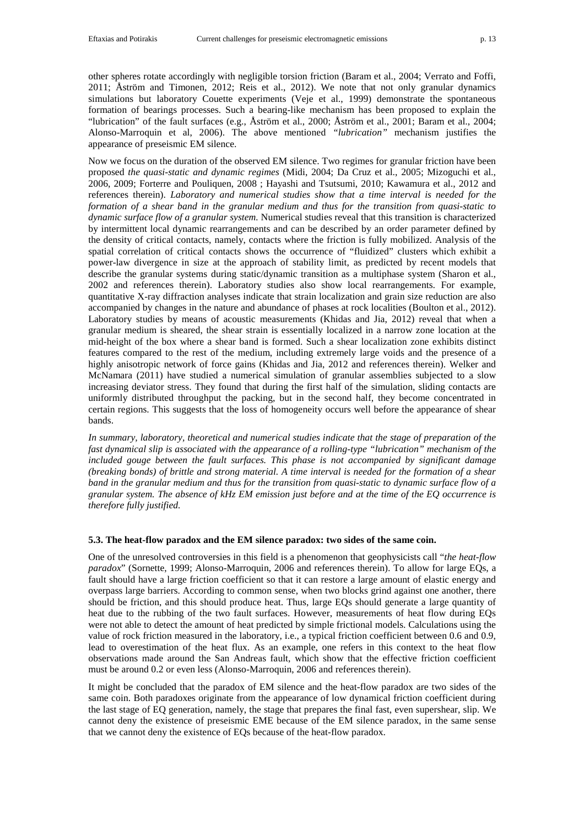other spheres rotate accordingly with negligible torsion friction (Baram et al., 2004; Verrato and Foffi, 2011; Åström and Timonen, 2012; Reis et al., 2012). We note that not only granular dynamics simulations but laboratory Couette experiments (Veje et al., 1999) demonstrate the spontaneous formation of bearings processes. Such a bearing-like mechanism has been proposed to explain the "lubrication" of the fault surfaces (e.g., Åström et al., 2000; Åström et al., 2001; Baram et al., 2004; Alonso-Marroquin et al, 2006). The above mentioned *"lubrication"* mechanism justifies the appearance of preseismic EM silence.

Now we focus on the duration of the observed EM silence. Two regimes for granular friction have been proposed *the quasi-static and dynamic regimes* (Midi, 2004; Da Cruz et al., 2005; Mizoguchi et al., 2006, 2009; Forterre and Pouliquen, 2008 ; Hayashi and Tsutsumi, 2010; Kawamura et al., 2012 and references therein). *Laboratory and numerical studies show that a time interval is needed for the formation of a shear band in the granular medium and thus for the transition from quasi-static to dynamic surface flow of a granular system.* Numerical studies reveal that this transition is characterized by intermittent local dynamic rearrangements and can be described by an order parameter defined by the density of critical contacts, namely, contacts where the friction is fully mobilized. Analysis of the spatial correlation of critical contacts shows the occurrence of "fluidized" clusters which exhibit a power-law divergence in size at the approach of stability limit, as predicted by recent models that describe the granular systems during static/dynamic transition as a multiphase system (Sharon et al., 2002 and references therein). Laboratory studies also show local rearrangements. For example, quantitative X-ray diffraction analyses indicate that strain localization and grain size reduction are also accompanied by changes in the nature and abundance of phases at rock localities (Boulton et al., 2012). Laboratory studies by means of acoustic measurements (Khidas and Jia, 2012) reveal that when a granular medium is sheared, the shear strain is essentially localized in a narrow zone location at the mid-height of the box where a shear band is formed. Such a shear localization zone exhibits distinct features compared to the rest of the medium, including extremely large voids and the presence of a highly anisotropic network of force gains (Khidas and Jia, 2012 and references therein). Welker and McNamara (2011) have studied a numerical simulation of granular assemblies subjected to a slow increasing deviator stress. They found that during the first half of the simulation, sliding contacts are uniformly distributed throughput the packing, but in the second half, they become concentrated in certain regions. This suggests that the loss of homogeneity occurs well before the appearance of shear bands.

*In summary, laboratory, theoretical and numerical studies indicate that the stage of preparation of the fast dynamical slip is associated with the appearance of a rolling-type "lubrication" mechanism of the included gouge between the fault surfaces. This phase is not accompanied by significant damage (breaking bonds) of brittle and strong material. A time interval is needed for the formation of a shear band in the granular medium and thus for the transition from quasi-static to dynamic surface flow of a granular system. The absence of kHz EM emission just before and at the time of the EQ occurrence is therefore fully justified.* 

## **5.3. The heat-flow paradox and the EM silence paradox: two sides of the same coin.**

One of the unresolved controversies in this field is a phenomenon that geophysicists call "*the heat-flow paradox*" (Sornette, 1999; Alonso-Marroquin, 2006 and references therein). To allow for large EQs, a fault should have a large friction coefficient so that it can restore a large amount of elastic energy and overpass large barriers. According to common sense, when two blocks grind against one another, there should be friction, and this should produce heat. Thus, large EQs should generate a large quantity of heat due to the rubbing of the two fault surfaces. However, measurements of heat flow during EQs were not able to detect the amount of heat predicted by simple frictional models. Calculations using the value of rock friction measured in the laboratory, i.e., a typical friction coefficient between 0.6 and 0.9, lead to overestimation of the heat flux. As an example, one refers in this context to the heat flow observations made around the San Andreas fault, which show that the effective friction coefficient must be around 0.2 or even less (Alonso-Marroquin, 2006 and references therein).

It might be concluded that the paradox of EM silence and the heat-flow paradox are two sides of the same coin. Both paradoxes originate from the appearance of low dynamical friction coefficient during the last stage of EQ generation, namely, the stage that prepares the final fast, even supershear, slip. We cannot deny the existence of preseismic EME because of the EM silence paradox, in the same sense that we cannot deny the existence of EQs because of the heat-flow paradox.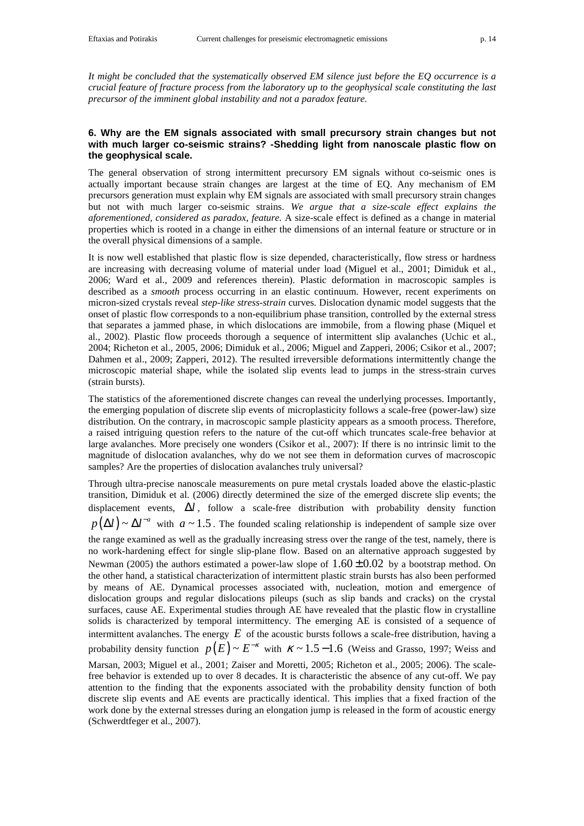*It might be concluded that the systematically observed EM silence just before the EQ occurrence is a crucial feature of fracture process from the laboratory up to the geophysical scale constituting the last precursor of the imminent global instability and not a paradox feature.* 

# **6. Why are the EM signals associated with small precursory strain changes but not with much larger co-seismic strains? -Shedding light from nanoscale plastic flow on the geophysical scale.**

The general observation of strong intermittent precursory EM signals without co-seismic ones is actually important because strain changes are largest at the time of EQ. Any mechanism of EM precursors generation must explain why EM signals are associated with small precursory strain changes but not with much larger co-seismic strains. *We argue that a size-scale effect explains the aforementioned, considered as paradox, feature.* A size-scale effect is defined as a change in material properties which is rooted in a change in either the dimensions of an internal feature or structure or in the overall physical dimensions of a sample.

It is now well established that plastic flow is size depended, characteristically, flow stress or hardness are increasing with decreasing volume of material under load (Miguel et al., 2001; Dimiduk et al., 2006; Ward et al., 2009 and references therein). Plastic deformation in macroscopic samples is described as a *smooth* process occurring in an elastic continuum. However, recent experiments on micron-sized crystals reveal *step-like stress-strain* curves. Dislocation dynamic model suggests that the onset of plastic flow corresponds to a non-equilibrium phase transition, controlled by the external stress that separates a jammed phase, in which dislocations are immobile, from a flowing phase (Miquel et al., 2002). Plastic flow proceeds thorough a sequence of intermittent slip avalanches (Uchic et al., 2004; Richeton et al., 2005, 2006; Dimiduk et al., 2006; Miguel and Zapperi, 2006; Csikor et al., 2007; Dahmen et al., 2009; Zapperi, 2012). The resulted irreversible deformations intermittently change the microscopic material shape, while the isolated slip events lead to jumps in the stress-strain curves (strain bursts).

The statistics of the aforementioned discrete changes can reveal the underlying processes. Importantly, the emerging population of discrete slip events of microplasticity follows a scale-free (power-law) size distribution. On the contrary, in macroscopic sample plasticity appears as a smooth process. Therefore, a raised intriguing question refers to the nature of the cut-off which truncates scale-free behavior at large avalanches. More precisely one wonders (Csikor et al., 2007): If there is no intrinsic limit to the magnitude of dislocation avalanches, why do we not see them in deformation curves of macroscopic samples? Are the properties of dislocation avalanches truly universal?

Through ultra-precise nanoscale measurements on pure metal crystals loaded above the elastic-plastic transition, Dimiduk et al. (2006) directly determined the size of the emerged discrete slip events; the displacement events, ∆*l* , follow a scale-free distribution with probability density function  $p(\Delta l) \sim \Delta l^{-a}$  with  $a \sim 1.5$ . The founded scaling relationship is independent of sample size over

the range examined as well as the gradually increasing stress over the range of the test, namely, there is no work-hardening effect for single slip-plane flow. Based on an alternative approach suggested by Newman (2005) the authors estimated a power-law slope of  $1.60 \pm 0.02$  by a bootstrap method. On the other hand, a statistical characterization of intermittent plastic strain bursts has also been performed by means of AE. Dynamical processes associated with, nucleation, motion and emergence of dislocation groups and regular dislocations pileups (such as slip bands and cracks) on the crystal surfaces, cause AE. Experimental studies through AE have revealed that the plastic flow in crystalline solids is characterized by temporal intermittency. The emerging AE is consisted of a sequence of intermittent avalanches. The energy *E* of the acoustic bursts follows a scale-free distribution, having a probability density function  $p(E) \sim E^{-\kappa}$  with  $\kappa \sim 1.5 - 1.6$  (Weiss and Grasso, 1997; Weiss and Marsan, 2003; Miguel et al., 2001; Zaiser and Moretti, 2005; Richeton et al., 2005; 2006). The scalefree behavior is extended up to over 8 decades. It is characteristic the absence of any cut-off. We pay attention to the finding that the exponents associated with the probability density function of both discrete slip events and AE events are practically identical. This implies that a fixed fraction of the work done by the external stresses during an elongation jump is released in the form of acoustic energy (Schwerdtfeger et al., 2007).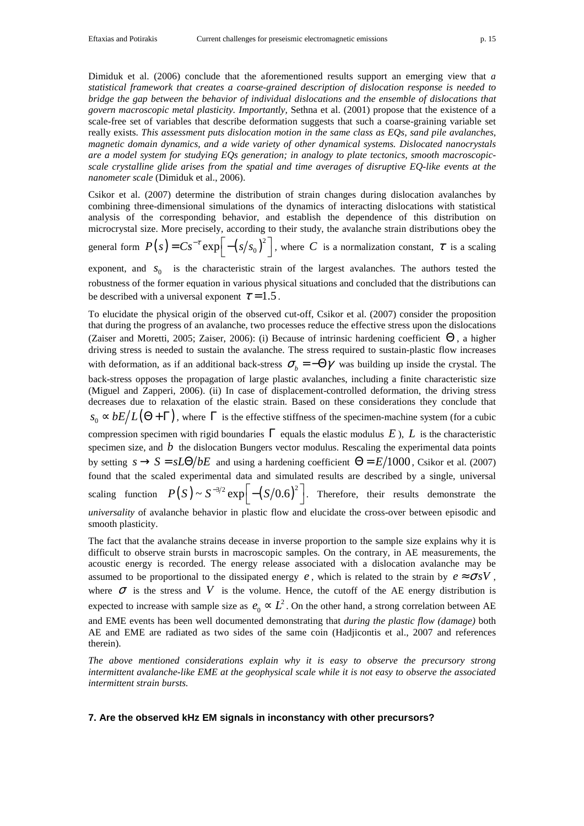Dimiduk et al. (2006) conclude that the aforementioned results support an emerging view that *a statistical framework that creates a coarse-grained description of dislocation response is needed to bridge the gap between the behavior of individual dislocations and the ensemble of dislocations that govern macroscopic metal plasticity. Importantly,* Sethna et al. (2001) propose that the existence of a scale-free set of variables that describe deformation suggests that such a coarse-graining variable set really exists. *This assessment puts dislocation motion in the same class as EQs, sand pile avalanches, magnetic domain dynamics, and a wide variety of other dynamical systems. Dislocated nanocrystals are a model system for studying EQs generation; in analogy to plate tectonics, smooth macroscopicscale crystalline glide arises from the spatial and time averages of disruptive EQ-like events at the nanometer scale* (Dimiduk et al., 2006).

Csikor et al. (2007) determine the distribution of strain changes during dislocation avalanches by combining three-dimensional simulations of the dynamics of interacting dislocations with statistical analysis of the corresponding behavior, and establish the dependence of this distribution on microcrystal size. More precisely, according to their study, the avalanche strain distributions obey the

general form  $P(s) = Cs^{-\tau} \exp \left[ -(s/s_0)^2 \right]$ , where *C* is a normalization constant,  $\tau$  is a scaling

exponent, and  $s_0$  is the characteristic strain of the largest avalanches. The authors tested the robustness of the former equation in various physical situations and concluded that the distributions can be described with a universal exponent  $\tau = 1.5$ .

To elucidate the physical origin of the observed cut-off, Csikor et al. (2007) consider the proposition that during the progress of an avalanche, two processes reduce the effective stress upon the dislocations (Zaiser and Moretti, 2005; Zaiser, 2006): (i) Because of intrinsic hardening coefficient  $\Theta$ , a higher driving stress is needed to sustain the avalanche. The stress required to sustain-plastic flow increases with deformation, as if an additional back-stress  $\sigma_b = -\Theta \gamma$  was building up inside the crystal. The back-stress opposes the propagation of large plastic avalanches, including a finite characteristic size (Miguel and Zapperi, 2006). (ii) In case of displacement-controlled deformation, the driving stress decreases due to relaxation of the elastic strain. Based on these considerations they conclude that  $s_0 \propto bE/L(\Theta + \Gamma)$ , where  $\Gamma$  is the effective stiffness of the specimen-machine system (for a cubic compression specimen with rigid boundaries  $\Gamma$  equals the elastic modulus  $E$  ),  $L$  is the characteristic specimen size, and  $\dot{b}$  the dislocation Bungers vector modulus. Rescaling the experimental data points by setting  $s \rightarrow S = sL\Theta/bE$  and using a hardening coefficient  $\Theta = E/1000$ , Csikor et al. (2007) found that the scaled experimental data and simulated results are described by a single, universal scaling function  $P(S) \sim S^{-3/2} \exp \left[ -\left( S/0.6 \right)^2 \right]$ . Therefore, their results demonstrate the *universality* of avalanche behavior in plastic flow and elucidate the cross-over between episodic and smooth plasticity.

The fact that the avalanche strains decease in inverse proportion to the sample size explains why it is difficult to observe strain bursts in macroscopic samples. On the contrary, in AE measurements, the acoustic energy is recorded. The energy release associated with a dislocation avalanche may be assumed to be proportional to the dissipated energy *e*, which is related to the strain by  $e \approx \sigma sV$ , where  $\sigma$  is the stress and V is the volume. Hence, the cutoff of the AE energy distribution is expected to increase with sample size as  $e_0 \propto L^2$ . On the other hand, a strong correlation between AE and EME events has been well documented demonstrating that *during the plastic flow (damage)* both AE and EME are radiated as two sides of the same coin (Hadjicontis et al., 2007 and references therein).

*The above mentioned considerations explain why it is easy to observe the precursory strong intermittent avalanche-like EME at the geophysical scale while it is not easy to observe the associated intermittent strain bursts.* 

#### **7. Are the observed kHz EM signals in inconstancy with other precursors?**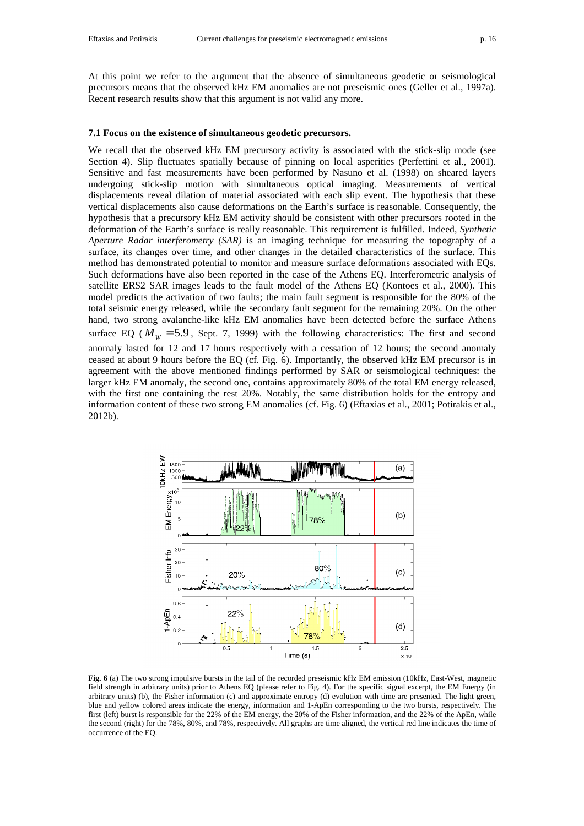At this point we refer to the argument that the absence of simultaneous geodetic or seismological precursors means that the observed kHz EM anomalies are not preseismic ones (Geller et al., 1997a). Recent research results show that this argument is not valid any more.

#### **7.1 Focus on the existence of simultaneous geodetic precursors.**

We recall that the observed kHz EM precursory activity is associated with the stick-slip mode (see Section 4). Slip fluctuates spatially because of pinning on local asperities (Perfettini et al., 2001). Sensitive and fast measurements have been performed by Nasuno et al. (1998) on sheared layers undergoing stick-slip motion with simultaneous optical imaging. Measurements of vertical displacements reveal dilation of material associated with each slip event. The hypothesis that these vertical displacements also cause deformations on the Earth's surface is reasonable. Consequently, the hypothesis that a precursory kHz EM activity should be consistent with other precursors rooted in the deformation of the Earth's surface is really reasonable. This requirement is fulfilled. Indeed, *Synthetic Aperture Radar interferometry (SAR)* is an imaging technique for measuring the topography of a surface, its changes over time, and other changes in the detailed characteristics of the surface. This method has demonstrated potential to monitor and measure surface deformations associated with EQs. Such deformations have also been reported in the case of the Athens EQ. Interferometric analysis of satellite ERS2 SAR images leads to the fault model of the Athens EQ (Kontoes et al., 2000). This model predicts the activation of two faults; the main fault segment is responsible for the 80% of the total seismic energy released, while the secondary fault segment for the remaining 20%. On the other hand, two strong avalanche-like kHz EM anomalies have been detected before the surface Athens surface EQ ( $M_W$  = 5.9, Sept. 7, 1999) with the following characteristics: The first and second anomaly lasted for 12 and 17 hours respectively with a cessation of 12 hours; the second anomaly ceased at about 9 hours before the EQ (cf. Fig. 6). Importantly, the observed kHz EM precursor is in agreement with the above mentioned findings performed by SAR or seismological techniques: the larger kHz EM anomaly, the second one, contains approximately 80% of the total EM energy released, with the first one containing the rest 20%. Notably, the same distribution holds for the entropy and information content of these two strong EM anomalies (cf. Fig. 6) (Eftaxias et al., 2001; Potirakis et al., 2012b).



**Fig. 6** (a) The two strong impulsive bursts in the tail of the recorded preseismic kHz EM emission (10kHz, East-West, magnetic field strength in arbitrary units) prior to Athens EQ (please refer to Fig. 4). For the specific signal excerpt, the EM Energy (in arbitrary units) (b), the Fisher information (c) and approximate entropy (d) evolution with time are presented. The light green, blue and yellow colored areas indicate the energy, information and 1-ApEn corresponding to the two bursts, respectively. The first (left) burst is responsible for the 22% of the EM energy, the 20% of the Fisher information, and the 22% of the ApEn, while the second (right) for the 78%, 80%, and 78%, respectively. All graphs are time aligned, the vertical red line indicates the time of occurrence of the EQ.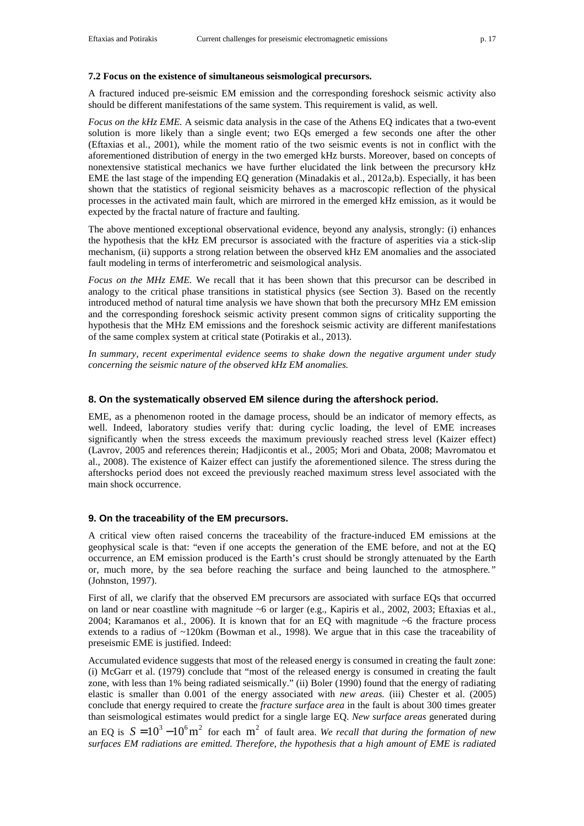### **7.2 Focus on the existence of simultaneous seismological precursors.**

A fractured induced pre-seismic EM emission and the corresponding foreshock seismic activity also should be different manifestations of the same system. This requirement is valid, as well.

*Focus on the kHz EME.* A seismic data analysis in the case of the Athens EQ indicates that a two-event solution is more likely than a single event; two EQs emerged a few seconds one after the other (Eftaxias et al., 2001), while the moment ratio of the two seismic events is not in conflict with the aforementioned distribution of energy in the two emerged kHz bursts. Moreover, based on concepts of nonextensive statistical mechanics we have further elucidated the link between the precursory kHz EME the last stage of the impending EQ generation (Minadakis et al., 2012a,b). Especially, it has been shown that the statistics of regional seismicity behaves as a macroscopic reflection of the physical processes in the activated main fault, which are mirrored in the emerged kHz emission, as it would be expected by the fractal nature of fracture and faulting.

The above mentioned exceptional observational evidence, beyond any analysis, strongly: (i) enhances the hypothesis that the kHz EM precursor is associated with the fracture of asperities via a stick-slip mechanism, (ii) supports a strong relation between the observed kHz EM anomalies and the associated fault modeling in terms of interferometric and seismological analysis.

*Focus on the MHz EME.* We recall that it has been shown that this precursor can be described in analogy to the critical phase transitions in statistical physics (see Section 3). Based on the recently introduced method of natural time analysis we have shown that both the precursory MHz EM emission and the corresponding foreshock seismic activity present common signs of criticality supporting the hypothesis that the MHz EM emissions and the foreshock seismic activity are different manifestations of the same complex system at critical state (Potirakis et al., 2013).

*In summary, recent experimental evidence seems to shake down the negative argument under study concerning the seismic nature of the observed kHz EM anomalies.* 

## **8. On the systematically observed EM silence during the aftershock period.**

EME, as a phenomenon rooted in the damage process, should be an indicator of memory effects, as well. Indeed, laboratory studies verify that: during cyclic loading, the level of EME increases significantly when the stress exceeds the maximum previously reached stress level (Kaizer effect) (Lavrov, 2005 and references therein; Hadjicontis et al., 2005; Mori and Obata, 2008; Mavromatou et al., 2008). The existence of Kaizer effect can justify the aforementioned silence. The stress during the aftershocks period does not exceed the previously reached maximum stress level associated with the main shock occurrence.

## **9. On the traceability of the EM precursors.**

A critical view often raised concerns the traceability of the fracture-induced EM emissions at the geophysical scale is that: "even if one accepts the generation of the EME before, and not at the EQ occurrence, an EM emission produced is the Earth's crust should be strongly attenuated by the Earth or, much more, by the sea before reaching the surface and being launched to the atmosphere*."* (Johnston, 1997).

First of all, we clarify that the observed EM precursors are associated with surface EQs that occurred on land or near coastline with magnitude ~6 or larger (e.g., Kapiris et al., 2002, 2003; Eftaxias et al., 2004; Karamanos et al., 2006). It is known that for an EQ with magnitude ~6 the fracture process extends to a radius of ~120km (Bowman et al., 1998). We argue that in this case the traceability of preseismic EME is justified. Indeed:

Accumulated evidence suggests that most of the released energy is consumed in creating the fault zone: (i) McGarr et al. (1979) conclude that "most of the released energy is consumed in creating the fault zone, with less than 1% being radiated seismically." (ii) Boler (1990) found that the energy of radiating elastic is smaller than 0.001 of the energy associated with *new areas.* (iii) Chester et al. (2005) conclude that energy required to create the *fracture surface area* in the fault is about 300 times greater than seismological estimates would predict for a single large EQ. *New surface areas* generated during an EO is  $S = 10^3 - 10^6$  m<sup>2</sup> for each m<sup>2</sup> of fault area. *We recall that during the formation of new surfaces EM radiations are emitted. Therefore, the hypothesis that a high amount of EME is radiated*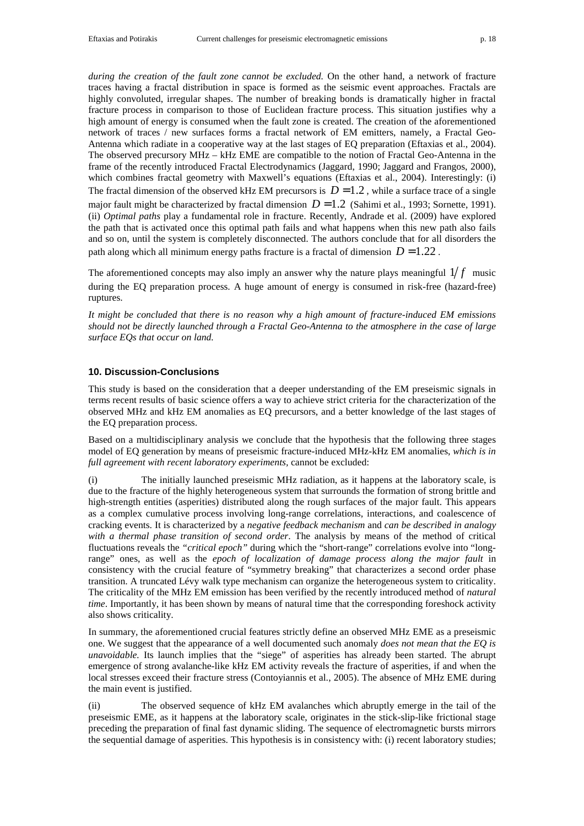*during the creation of the fault zone cannot be excluded.* On the other hand, a network of fracture traces having a fractal distribution in space is formed as the seismic event approaches. Fractals are highly convoluted, irregular shapes. The number of breaking bonds is dramatically higher in fractal fracture process in comparison to those of Euclidean fracture process. This situation justifies why a high amount of energy is consumed when the fault zone is created. The creation of the aforementioned network of traces / new surfaces forms a fractal network of EM emitters, namely, a Fractal Geo-Antenna which radiate in a cooperative way at the last stages of EQ preparation (Eftaxias et al., 2004). The observed precursory MHz – kHz EME are compatible to the notion of Fractal Geo-Antenna in the frame of the recently introduced Fractal Electrodynamics (Jaggard, 1990; Jaggard and Frangos, 2000), which combines fractal geometry with Maxwell's equations (Eftaxias et al., 2004). Interestingly: (i) The fractal dimension of the observed kHz EM precursors is  $D = 1.2$ , while a surface trace of a single major fault might be characterized by fractal dimension  $D = 1.2$  (Sahimi et al., 1993; Sornette, 1991). (ii) *Optimal paths* play a fundamental role in fracture. Recently, Andrade et al. (2009) have explored the path that is activated once this optimal path fails and what happens when this new path also fails and so on, until the system is completely disconnected. The authors conclude that for all disorders the path along which all minimum energy paths fracture is a fractal of dimension  $D = 1.22$ .

The aforementioned concepts may also imply an answer why the nature plays meaningful  $1/f$  music during the EQ preparation process. A huge amount of energy is consumed in risk-free (hazard-free) ruptures.

*It might be concluded that there is no reason why a high amount of fracture-induced EM emissions should not be directly launched through a Fractal Geo-Antenna to the atmosphere in the case of large surface EQs that occur on land.* 

# **10. Discussion-Conclusions**

This study is based on the consideration that a deeper understanding of the EM preseismic signals in terms recent results of basic science offers a way to achieve strict criteria for the characterization of the observed MHz and kHz EM anomalies as EQ precursors, and a better knowledge of the last stages of the EQ preparation process.

Based on a multidisciplinary analysis we conclude that the hypothesis that the following three stages model of EQ generation by means of preseismic fracture-induced MHz-kHz EM anomalies, *which is in full agreement with recent laboratory experiments,* cannot be excluded:

(i) The initially launched preseismic MHz radiation, as it happens at the laboratory scale, is due to the fracture of the highly heterogeneous system that surrounds the formation of strong brittle and high-strength entities (asperities) distributed along the rough surfaces of the major fault. This appears as a complex cumulative process involving long-range correlations, interactions, and coalescence of cracking events. It is characterized by a *negative feedback mechanism* and *can be described in analogy with a thermal phase transition of second order*. The analysis by means of the method of critical fluctuations reveals the *"critical epoch"* during which the "short-range" correlations evolve into "longrange" ones, as well as the *epoch of localization of damage process along the major fault* in consistency with the crucial feature of "symmetry breaking" that characterizes a second order phase transition. A truncated Lévy walk type mechanism can organize the heterogeneous system to criticality. The criticality of the MHz EM emission has been verified by the recently introduced method of *natural time*. Importantly, it has been shown by means of natural time that the corresponding foreshock activity also shows criticality.

In summary, the aforementioned crucial features strictly define an observed MHz EME as a preseismic one. We suggest that the appearance of a well documented such anomaly *does not mean that the EQ is unavoidable.* Its launch implies that the "siege" of asperities has already been started. The abrupt emergence of strong avalanche-like kHz EM activity reveals the fracture of asperities, if and when the local stresses exceed their fracture stress (Contoyiannis et al., 2005). The absence of MHz EME during the main event is justified.

(ii) The observed sequence of kHz EM avalanches which abruptly emerge in the tail of the preseismic EME, as it happens at the laboratory scale, originates in the stick-slip-like frictional stage preceding the preparation of final fast dynamic sliding. The sequence of electromagnetic bursts mirrors the sequential damage of asperities. This hypothesis is in consistency with: (i) recent laboratory studies;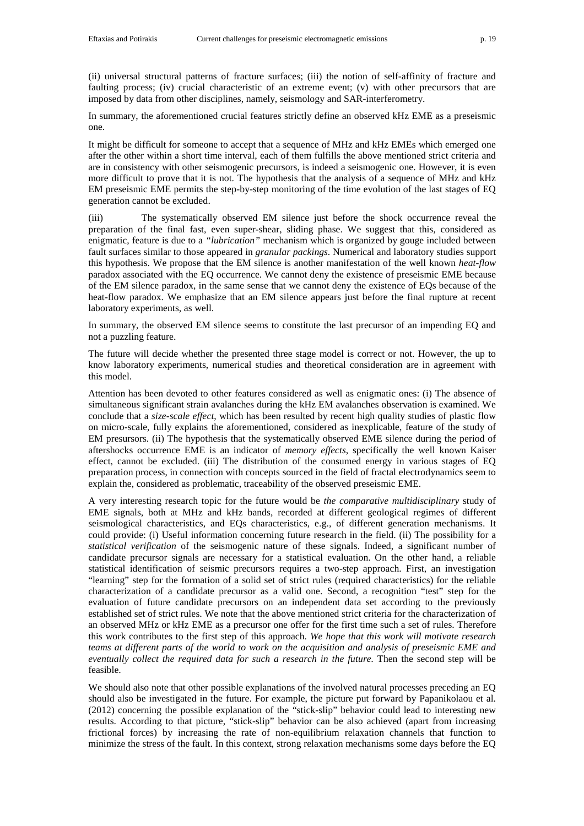(ii) universal structural patterns of fracture surfaces; (iii) the notion of self-affinity of fracture and faulting process; (iv) crucial characteristic of an extreme event; (v) with other precursors that are imposed by data from other disciplines, namely, seismology and SAR-interferometry.

In summary, the aforementioned crucial features strictly define an observed kHz EME as a preseismic one.

It might be difficult for someone to accept that a sequence of MHz and kHz EMEs which emerged one after the other within a short time interval, each of them fulfills the above mentioned strict criteria and are in consistency with other seismogenic precursors, is indeed a seismogenic one. However, it is even more difficult to prove that it is not. The hypothesis that the analysis of a sequence of MHz and kHz EM preseismic EME permits the step-by-step monitoring of the time evolution of the last stages of EQ generation cannot be excluded.

(iii) The systematically observed EM silence just before the shock occurrence reveal the preparation of the final fast, even super-shear, sliding phase. We suggest that this, considered as enigmatic, feature is due to a *"lubrication"* mechanism which is organized by gouge included between fault surfaces similar to those appeared in *granular packings*. Numerical and laboratory studies support this hypothesis. We propose that the EM silence is another manifestation of the well known *heat-flow* paradox associated with the EQ occurrence. We cannot deny the existence of preseismic EME because of the EM silence paradox, in the same sense that we cannot deny the existence of EQs because of the heat-flow paradox. We emphasize that an EM silence appears just before the final rupture at recent laboratory experiments, as well.

In summary, the observed EM silence seems to constitute the last precursor of an impending EQ and not a puzzling feature.

The future will decide whether the presented three stage model is correct or not. However, the up to know laboratory experiments, numerical studies and theoretical consideration are in agreement with this model.

Attention has been devoted to other features considered as well as enigmatic ones: (i) The absence of simultaneous significant strain avalanches during the kHz EM avalanches observation is examined. We conclude that a *size-scale effect*, which has been resulted by recent high quality studies of plastic flow on micro-scale, fully explains the aforementioned, considered as inexplicable, feature of the study of EM presursors. (ii) The hypothesis that the systematically observed EME silence during the period of aftershocks occurrence EME is an indicator of *memory effects*, specifically the well known Kaiser effect, cannot be excluded. (iii) The distribution of the consumed energy in various stages of EQ preparation process, in connection with concepts sourced in the field of fractal electrodynamics seem to explain the, considered as problematic, traceability of the observed preseismic EME.

A very interesting research topic for the future would be *the comparative multidisciplinary* study of EME signals, both at MHz and kHz bands, recorded at different geological regimes of different seismological characteristics, and EQs characteristics, e.g., of different generation mechanisms. It could provide: (i) Useful information concerning future research in the field. (ii) The possibility for a *statistical verification* of the seismogenic nature of these signals. Indeed, a significant number of candidate precursor signals are necessary for a statistical evaluation. On the other hand, a reliable statistical identification of seismic precursors requires a two-step approach. First, an investigation "learning" step for the formation of a solid set of strict rules (required characteristics) for the reliable characterization of a candidate precursor as a valid one. Second, a recognition "test" step for the evaluation of future candidate precursors on an independent data set according to the previously established set of strict rules. We note that the above mentioned strict criteria for the characterization of an observed MHz or kHz EME as a precursor one offer for the first time such a set of rules. Therefore this work contributes to the first step of this approach. *We hope that this work will motivate research teams at different parts of the world to work on the acquisition and analysis of preseismic EME and eventually collect the required data for such a research in the future.* Then the second step will be feasible.

We should also note that other possible explanations of the involved natural processes preceding an EQ should also be investigated in the future. For example, the picture put forward by Papanikolaou et al. (2012) concerning the possible explanation of the "stick-slip" behavior could lead to interesting new results. According to that picture, "stick-slip" behavior can be also achieved (apart from increasing frictional forces) by increasing the rate of non-equilibrium relaxation channels that function to minimize the stress of the fault. In this context, strong relaxation mechanisms some days before the EQ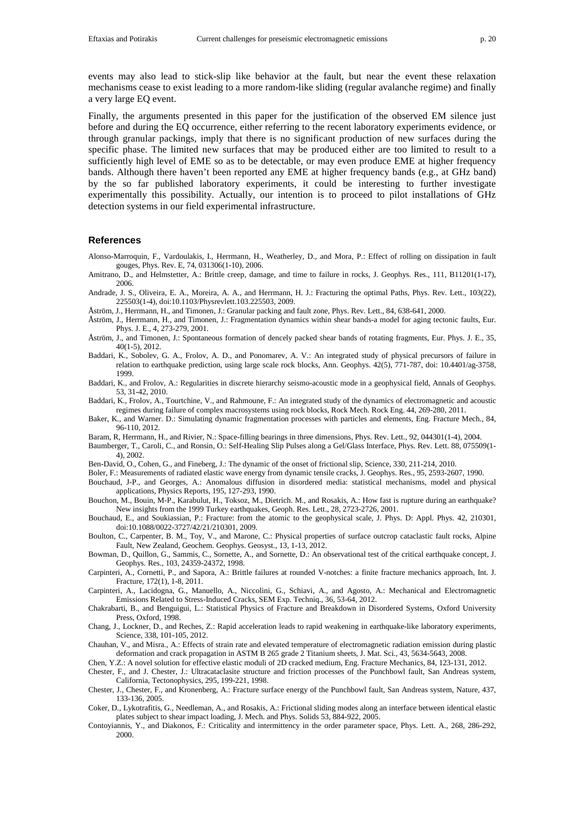events may also lead to stick-slip like behavior at the fault, but near the event these relaxation mechanisms cease to exist leading to a more random-like sliding (regular avalanche regime) and finally a very large EQ event.

Finally, the arguments presented in this paper for the justification of the observed EM silence just before and during the EQ occurrence, either referring to the recent laboratory experiments evidence, or through granular packings, imply that there is no significant production of new surfaces during the specific phase. The limited new surfaces that may be produced either are too limited to result to a sufficiently high level of EME so as to be detectable, or may even produce EME at higher frequency bands. Although there haven't been reported any EME at higher frequency bands (e.g., at GHz band) by the so far published laboratory experiments, it could be interesting to further investigate experimentally this possibility. Actually, our intention is to proceed to pilot installations of GHz detection systems in our field experimental infrastructure.

## **References**

- Alonso-Marroquin, F., Vardoulakis, I., Herrmann, H., Weatherley, D., and Mora, P.: Effect of rolling on dissipation in fault gouges, Phys. Rev. E, 74, 031306(1-10), 2006.
- Amitrano, D., and Helmstetter, A.: Brittle creep, damage, and time to failure in rocks, J. Geophys. Res., 111, B11201(1-17), 2006.
- Andrade, J. S., Oliveira, E. A., Moreira, A. A., and Herrmann, H. J.: Fracturing the optimal Paths, Phys. Rev. Lett., 103(22), 225503(1-4), doi:10.1103/Physrevlett.103.225503, 2009.
- Åström, J., Herrmann, H., and Timonen, J.: Granular packing and fault zone, Phys. Rev. Lett., 84, 638-641, 2000.
- Åström, J., Herrmann, H., and Timonen, J.: Fragmentation dynamics within shear bands-a model for aging tectonic faults, Eur. Phys. J. E., 4, 273-279, 2001.
- Åström, J., and Timonen, J.: Spontaneous formation of dencely packed shear bands of rotating fragments, Eur. Phys. J. E., 35, 40(1-5), 2012.
- Baddari, K., Sobolev, G. A., Frolov, A. D., and Ponomarev, A. V.: An integrated study of physical precursors of failure in relation to earthquake prediction, using large scale rock blocks, Ann. Geophys. 42(5), 771-787, doi: 10.4401/ag-3758, 1999.
- Baddari, K., and Frolov, A.: Regularities in discrete hierarchy seismo-acoustic mode in a geophysical field, Annals of Geophys. 53, 31-42, 2010.
- Baddari, K., Frolov, A., Tourtchine, V., and Rahmoune, F.: An integrated study of the dynamics of electromagnetic and acoustic regimes during failure of complex macrosystems using rock blocks, Rock Mech. Rock Eng. 44, 269-280, 2011.
- Baker, K., and Warner. D.: Simulating dynamic fragmentation processes with particles and elements, Eng. Fracture Mech., 84, 96-110, 2012.
- Baram, R, Herrmann, H., and Rivier, N.: Space-filling bearings in three dimensions, Phys. Rev. Lett., 92, 044301(1-4), 2004.
- Baumberger, T., Caroli, C., and Ronsin, O.: Self-Healing Slip Pulses along a Gel/Glass Interface, Phys. Rev. Lett. 88, 075509(1- 4), 2002.
- Ben-David, O., Cohen, G., and Fineberg, J.: The dynamic of the onset of frictional slip, Science, 330, 211-214, 2010.
- Boler, F.: Measurements of radiated elastic wave energy from dynamic tensile cracks, J. Geophys. Res., 95, 2593-2607, 1990.
- Bouchaud, J-P., and Georges, A.: Anomalous diffusion in disordered media: statistical mechanisms, model and physical applications, Physics Reports, 195, 127-293, 1990.
- Bouchon, M., Bouin, M-P., Karabulut, H., Toksoz, M., Dietrich. M., and Rosakis, A.: How fast is rupture during an earthquake? New insights from the 1999 Turkey earthquakes, Geoph. Res. Lett., 28, 2723-2726, 2001.
- Bouchaud, E., and Soukiassian, P.: Fracture: from the atomic to the geophysical scale, J. Phys. D: Appl. Phys. 42, 210301, doi:10.1088/0022-3727/42/21/210301, 2009.
- Boulton, C., Carpenter, B. M., Toy, V., and Marone, C.: Physical properties of surface outcrop cataclastic fault rocks, Alpine Fault, New Zealand, Geochem. Geophys. Geosyst., 13, 1-13, 2012.
- Bowman, D., Quillon, G., Sammis, C., Sornette, A., and Sornette, D.: An observational test of the critical earthquake concept, J. Geophys. Res., 103, 24359-24372, 1998.
- Carpinteri, A., Cornetti, P., and Sapora, A.: Brittle failures at rounded V-notches: a finite fracture mechanics approach, Int. J. Fracture, 172(1), 1-8, 2011.
- Carpinteri, A., Lacidogna, G., Manuello, A., Niccolini, G., Schiavi, A., and Agosto, A.: Mechanical and Electromagnetic Emissions Related to Stress-Induced Cracks, SEM Exp. Techniq., 36, 53-64, 2012.
- Chakrabarti, B., and Benguigui, L.: Statistical Physics of Fracture and Breakdown in Disordered Systems, Oxford University Press, Oxford, 1998.
- Chang, J., Lockner, D., and Reches, Z.: Rapid acceleration leads to rapid weakening in earthquake-like laboratory experiments, Science, 338, 101-105, 2012.
- Chauhan, V., and Misra., A.: Effects of strain rate and elevated temperature of electromagnetic radiation emission during plastic deformation and crack propagation in ASTM B 265 grade 2 Titanium sheets, J. Mat. Sci., 43, 5634-5643, 2008.
- Chen, Y.Z.: A novel solution for effective elastic moduli of 2D cracked medium, Eng. Fracture Mechanics, 84, 123-131, 2012.
- Chester, F., and J. Chester, J.: Ultracataclasite structure and friction processes of the Punchbowl fault, San Andreas system, California, Tectonophysics, 295, 199-221, 1998.
- Chester, J., Chester, F., and Kronenberg, A.: Fracture surface energy of the Punchbowl fault, San Andreas system, Nature, 437, 133-136, 2005.
- Coker, D., Lykotrafitis, G., Needleman, A., and Rosakis, A.: Frictional sliding modes along an interface between identical elastic plates subject to shear impact loading, J. Mech. and Phys. Solids 53, 884-922, 2005.
- Contoyiannis, Y., and Diakonos, F.: Criticality and intermittency in the order parameter space, Phys. Lett. A., 268, 286-292, 2000.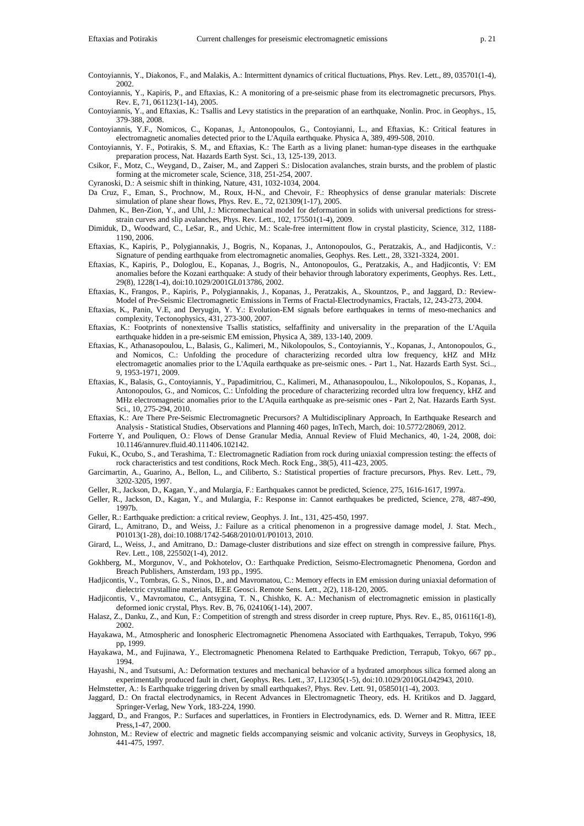- Contoyiannis, Y., Diakonos, F., and Malakis, A.: Intermittent dynamics of critical fluctuations, Phys. Rev. Lett., 89, 035701(1-4), 2002.
- Contoyiannis, Y., Kapiris, P., and Eftaxias, K.: A monitoring of a pre-seismic phase from its electromagnetic precursors, Phys. Rev. E, 71, 061123(1-14), 2005.
- Contoyiannis, Y., and Eftaxias, K.: Tsallis and Levy statistics in the preparation of an earthquake, Nonlin. Proc. in Geophys., 15, 379-388, 2008.
- Contoyiannis, Y.F., Nomicos, C., Kopanas, J., Antonopoulos, G., Contoyianni, L., and Eftaxias, K.: Critical features in electromagnetic anomalies detected prior to the L'Aquila earthquake. Physica A, 389, 499-508, 2010.
- Contoyiannis, Y. F., Potirakis, S. M., and Eftaxias, K.: The Earth as a living planet: human-type diseases in the earthquake preparation process, Nat. Hazards Earth Syst. Sci., 13, 125-139, 2013.
- Csikor, F., Motz, C., Weygand, D., Zaiser, M., and Zapperi S.: Dislocation avalanches, strain bursts, and the problem of plastic forming at the micrometer scale, Science, 318, 251-254, 2007.
- Cyranoski, D.: A seismic shift in thinking, Nature, 431, 1032-1034, 2004.
- Da Cruz, F., Eman, S., Prochnow, M., Roux, H-N., and Chevoir, F.: Rheophysics of dense granular materials: Discrete simulation of plane shear flows, Phys. Rev. E., 72, 021309(1-17), 2005.
- Dahmen, K., Ben-Zion, Y., and Uhl, J.: Micromechanical model for deformation in solids with universal predictions for stressstrain curves and slip avalanches, Phys. Rev. Lett., 102, 175501(1-4), 2009.
- Dimiduk, D., Woodward, C., LeSar, R., and Uchic, M.: Scale-free intermittent flow in crystal plasticity, Science, 312, 1188- 1190, 2006.
- Eftaxias, K., Kapiris, P., Polygiannakis, J., Bogris, N., Kopanas, J., Antonopoulos, G., Peratzakis, A., and Hadjicontis, V.: Signature of pending earthquake from electromagnetic anomalies, Geophys. Res. Lett., 28, 3321-3324, 2001.
- Eftaxias, K., Kapiris, P., Dologlou, E., Kopanas, J., Bogris, N., Antonopoulos, G., Peratzakis, A., and Hadjicontis, V: EM anomalies before the Kozani earthquake: A study of their behavior through laboratory experiments, Geophys. Res. Lett., 29(8), 1228(1-4), doi:10.1029/2001GL013786, 2002.
- Eftaxias, K., Frangos, P., Kapiris, P., Polygiannakis, J., Kopanas, J., Peratzakis, A., Skountzos, P., and Jaggard, D.: Review-Model of Pre-Seismic Electromagnetic Emissions in Terms of Fractal-Electrodynamics, Fractals, 12, 243-273, 2004.
- Eftaxias, K., Panin, V.E, and Deryugin, Y. Y.: Evolution-EM signals before earthquakes in terms of meso-mechanics and complexity, Tectonophysics, 431, 273-300, 2007.
- Eftaxias, K.: Footprints of nonextensive Tsallis statistics, selfaffinity and universality in the preparation of the L'Aquila earthquake hidden in a pre-seismic EM emission, Physica A, 389, 133-140, 2009.
- Eftaxias, K., Athanasopoulou, L., Balasis, G., Kalimeri, M., Nikolopoulos, S., Contoyiannis, Y., Kopanas, J., Antonopoulos, G., and Nomicos, C.: Unfolding the procedure of characterizing recorded ultra low frequency, kHZ and MHz electromagetic anomalies prior to the L'Aquila earthquake as pre-seismic ones. - Part 1., Nat. Hazards Earth Syst. Sci.., 9, 1953-1971, 2009.
- Eftaxias, K., Balasis, G., Contoyiannis, Y., Papadimitriou, C., Kalimeri, M., Athanasopoulou, L., Nikolopoulos, S., Kopanas, J., Antonopoulos, G., and Nomicos, C.: Unfolding the procedure of characterizing recorded ultra low frequency, kHZ and MHz electromagnetic anomalies prior to the L'Aquila earthquake as pre-seismic ones - Part 2, Nat. Hazards Earth Syst. Sci., 10, 275-294, 2010.
- Eftaxias, K.: Are There Pre-Seismic Electromagnetic Precursors? A Multidisciplinary Approach, Ιn Earthquake Research and Analysis - Statistical Studies, Observations and Planning 460 pages, InTech, March, doi: 10.5772/28069, 2012.
- Forterre Y, and Pouliquen, O.: Flows of Dense Granular Media, Annual Review of Fluid Mechanics, 40, 1-24, 2008, doi: 10.1146/annurev.fluid.40.111406.102142.
- Fukui, K., Ocubo, S., and Terashima, T.: Electromagnetic Radiation from rock during uniaxial compression testing: the effects of rock characteristics and test conditions, Rock Mech. Rock Eng., 38(5), 411-423, 2005.
- Garcimartin, A., Guarino, A., Bellon, L., and Ciliberto, S.: Statistical properties of fracture precursors, Phys. Rev. Lett., 79, 3202-3205, 1997.
- Geller, R., Jackson, D., Kagan, Y., and Mulargia, F.: Earthquakes cannot be predicted, Science, 275, 1616-1617, 1997a.
- Geller, R., Jackson, D., Kagan, Y., and Mulargia, F.: Response in: Cannot earthquakes be predicted, Science, 278, 487-490, 1997b.
- Geller, R.: Earthquake prediction: a critical review, Geophys. J. Int., 131, 425-450, 1997.
- Girard, L., Amitrano, D., and Weiss, J.: Failure as a critical phenomenon in a progressive damage model, J. Stat. Mech., P01013(1-28), doi:10.1088/1742-5468/2010/01/P01013, 2010.
- Girard, L., Weiss, J., and Amitrano, D.: Damage-cluster distributions and size effect on strength in compressive failure, Phys. Rev. Lett., 108, 225502(1-4), 2012.
- Gokhberg, M., Morgunov, V., and Pokhotelov, O.: Earthquake Prediction, Seismo-Electromagnetic Phenomena, Gordon and Breach Publishers, Amsterdam, 193 pp., 1995.
- Hadjicontis, V., Tombras, G. S., Ninos, D., and Mavromatou, C.: Memory effects in EM emission during uniaxial deformation of dielectric crystalline materials, IEEE Geosci. Remote Sens. Lett., 2(2), 118-120, 2005.
- Hadjicontis, V., Mavromatou, C., Antsygina, T. N., Chishko, K. A.: Mechanism of electromagnetic emission in plastically deformed ionic crystal, Phys. Rev. B, 76, 024106(1-14), 2007.
- Ηalasz, Z., Danku, Z., and Kun, F.: Competition of strength and stress disorder in creep rupture, Phys. Rev. E., 85, 016116(1-8), 2002.
- Hayakawa, M., Atmospheric and Ionospheric Electromagnetic Phenomena Associated with Earthquakes, Terrapub, Tokyo, 996 pp, 1999.
- Hayakawa, M., and Fujinawa, Y., Electromagnetic Phenomena Related to Earthquake Prediction, Terrapub, Tokyo, 667 pp., 1994.
- Hayashi, N., and Tsutsumi, A.: Deformation textures and mechanical behavior of a hydrated amorphous silica formed along an experimentally produced fault in chert, Geophys. Res. Lett., 37, L12305(1-5), doi:10.1029/2010GL042943, 2010.
- Helmstetter, A.: Is Earthquake triggering driven by small earthquakes?, Phys. Rev. Lett. 91, 058501(1-4), 2003.
- Jaggard, D.: On fractal electrodynamics, in Recent Advances in Electromagnetic Theory, eds. H. Kritikos and D. Jaggard, Springer-Verlag, New York, 183-224, 1990.
- Jaggard, D., and Frangos, P.: Surfaces and superlattices, in Frontiers in Electrodynamics, eds. D. Werner and R. Mittra, IEEE Press,1-47, 2000.
- Johnston, M.: Review of electric and magnetic fields accompanying seismic and volcanic activity, Surveys in Geophysics, 18, 441-475, 1997.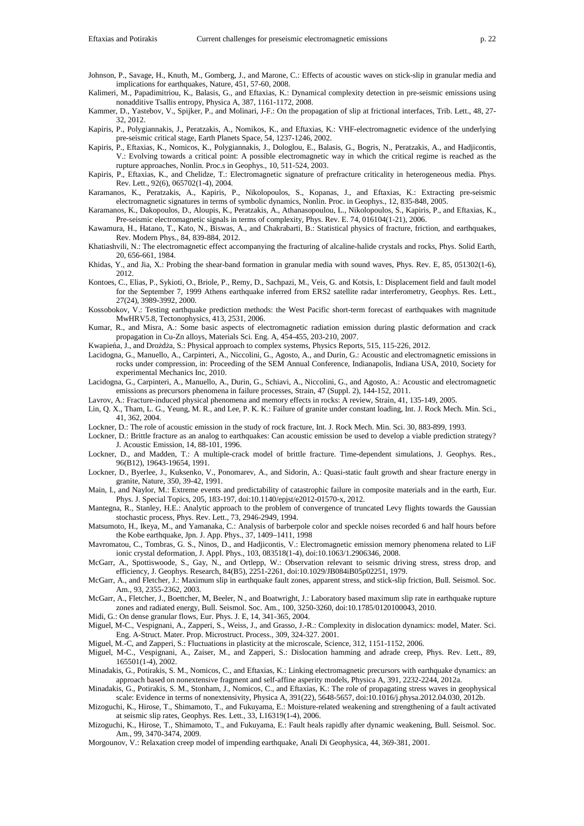- Johnson, P., Savage, H., Knuth, M., Gomberg, J., and Marone, C.: Effects of acoustic waves on stick-slip in granular media and implications for earthquakes, Nature, 451, 57-60, 2008.
- Kalimeri, M., Papadimitriou, K., Balasis, G., and Eftaxias, K.: Dynamical complexity detection in pre-seismic emissions using nonadditive Tsallis entropy, Physica A, 387, 1161-1172, 2008.
- Kammer, D., Yastebov, V., Spijker, P., and Molinari, J-F.: On the propagation of slip at frictional interfaces, Trib. Lett., 48, 27- 32, 2012.
- Kapiris, P., Polygiannakis, J., Peratzakis, A., Nomikos, K., and Eftaxias, K.: VHF-electromagnetic evidence of the underlying pre-seismic critical stage, Earth Planets Space, 54, 1237-1246, 2002.
- Kapiris, P., Eftaxias, K., Nomicos, K., Polygiannakis, J., Dologlou, E., Balasis, G., Bogris, N., Peratzakis, A., and Hadjicontis, V.: Evolving towards a critical point: A possible electromagnetic way in which the critical regime is reached as the rupture approaches, Nonlin. Proc.s in Geophys., 10, 511-524, 2003.
- Kapiris, P., Eftaxias, K., and Chelidze, T.: Electromagnetic signature of prefracture criticality in heterogeneous media. Phys. Rev. Lett., 92(6), 065702(1-4), 2004.
- Karamanos, K., Peratzakis, A., Kapiris, P., Nikolopoulos, S., Kopanas, J., and Eftaxias, K.: Extracting pre-seismic electromagnetic signatures in terms of symbolic dynamics, Nonlin. Proc. in Geophys., 12, 835-848, 2005.
- Karamanos, K., Dakopoulos, D., Aloupis, K., Peratzakis, A., Athanasopoulou, L., Nikolopoulos, S., Kapiris, P., and Eftaxias, K., Pre-seismic electromagnetic signals in terms of complexity, Phys. Rev. E. 74, 016104(1-21), 2006.
- Kawamura, H., Hatano, T., Kato, N., Biswas, A., and Chakrabarti, B.: Statistical physics of fracture, friction, and earthquakes, Rev. Modern Phys., 84, 839-884, 2012.
- Khatiashvili, N.: The electromagnetic effect accompanying the fracturing of alcaline-halide crystals and rocks, Phys. Solid Earth, 20, 656-661, 1984.
- Khidas, Y., and Jia, X.: Probing the shear-band formation in granular media with sound waves, Phys. Rev. E, 85, 051302(1-6), 2012.
- Kontoes, C., Elias, P., Sykioti, O., Briole, P., Remy, D., Sachpazi, M., Veis, G. and Kotsis, I.: Displacement field and fault model for the September 7, 1999 Athens earthquake inferred from ERS2 satellite radar interferometry, Geophys. Res. Lett., 27(24), 3989-3992, 2000.
- Kossobokov, V.: Testing earthquake prediction methods: the West Pacific short-term forecast of earthquakes with magnitude MwHRV5.8, Tectonophysics, 413, 2531, 2006.
- Kumar, R., and Misra, A.: Some basic aspects of electromagnetic radiation emission during plastic deformation and crack propagation in Cu-Zn alloys, Materials Sci. Eng. A, 454-455, 203-210, 2007.
- Kwapieńa, J., and Drożdża, S.: Physical approach to complex systems, Physics Reports, 515, 115-226, 2012.
- Lacidogna, G., Manuello, A., Carpinteri, A., Niccolini, G., Agosto, A., and Durin, G.: Acoustic and electromagnetic emissions in rocks under compression, in: Proceeding of the SEM Annual Conference, Indianapolis, Indiana USA, 2010, Society for experimental Mechanics Inc, 2010.
- Lacidogna, G., Carpinteri, A., Manuello, A., Durin, G., Schiavi, A., Niccolini, G., and Agosto, A.: Acoustic and electromagnetic emissions as precursors phenomena in failure processes, Strain, 47 (Suppl. 2), 144-152, 2011.
- Lavrov, A.: Fracture-induced physical phenomena and memory effects in rocks: A review, Strain, 41, 135-149, 2005.
- Lin, Q. X., Tham, L. G., Yeung, M. R., and Lee, P. K. K.: Failure of granite under constant loading, Int. J. Rock Mech. Min. Sci., 41, 362, 2004.

Lockner, D.: The role of acoustic emission in the study of rock fracture, Int. J. Rock Mech. Min. Sci. 30, 883-899, 1993.

- Lockner, D.: Brittle fracture as an analog to earthquakes: Can acoustic emission be used to develop a viable prediction strategy? J. Acoustic Emission, 14, 88-101, 1996.
- Lockner, D., and Madden, T.: A multiple-crack model of brittle fracture. Time-dependent simulations, J. Geophys. Res., 96(B12), 19643-19654, 1991.
- Lockner, D., Byerlee, J., Kuksenko, V., Ponomarev, A., and Sidorin, A.: Quasi-static fault growth and shear fracture energy in granite, Nature, 350, 39-42, 1991.
- Main, I., and Naylor, M.: Extreme events and predictability of catastrophic failure in composite materials and in the earth, Eur. Phys. J. Special Topics, 205, 183-197, doi:10.1140/epjst/e2012-01570-x, 2012.
- Mantegna, R., Stanley, H.E.: Analytic approach to the problem of convergence of truncated Levy flights towards the Gaussian stochastic process, Phys. Rev. Lett., 73, 2946-2949, 1994.
- Matsumoto, H., Ikeya, M., and Yamanaka, C.: Analysis of barberpole color and speckle noises recorded 6 and half hours before the Kobe earthquake, Jpn. J. App. Phys., 37, 1409–1411, 1998
- Mavromatou, C., Tombras, G. S., Ninos, D., and Hadjicontis, V.: Electromagnetic emission memory phenomena related to LiF ionic crystal deformation, J. Appl. Phys., 103, 083518(1-4), doi:10.1063/1.2906346, 2008.
- McGarr, A., Spottiswoode, S., Gay, N., and Ortlepp, W.: Observation relevant to seismic driving stress, stress drop, and efficiency, J. Geophys. Research, 84(B5), 2251-2261, doi:10.1029/JB084iB05p02251, 1979.
- McGarr, A., and Fletcher, J.: Maximum slip in earthquake fault zones, apparent stress, and stick-slip friction, Bull. Seismol. Soc. Am., 93, 2355-2362, 2003.
- McGarr, A., Fletcher, J., Boettcher, M, Beeler, N., and Boatwright, J.: Laboratory based maximum slip rate in earthquake rupture zones and radiated energy, Bull. Seismol. Soc. Am., 100, 3250-3260, doi:10.1785/0120100043, 2010.
- Midi, G.: On dense granular flows, Eur. Phys. J. E, 14, 341-365, 2004.
- Miguel, M-C., Vespignani, A., Zapperi, S., Weiss, J., and Grasso, J.-R.: Complexity in dislocation dynamics: model, Mater. Sci. Eng. A-Struct. Mater. Prop. Microstruct. Process., 309, 324-327. 2001.
- Miguel, M.-C, and Zapperi, S.: Fluctuations in plasticity at the microscale, Science, 312, 1151-1152, 2006.
- Miguel, M-C., Vespignani, A., Zaiser, M., and Zapperi, S.: Dislocation hamming and adrade creep, Phys. Rev. Lett., 89, 165501(1-4), 2002.
- Minadakis, G., Potirakis, S. M., Nomicos, C., and Eftaxias, K.: Linking electromagnetic precursors with earthquake dynamics: an approach based on nonextensive fragment and self-affine asperity models, Physica A, 391, 2232-2244, 2012a.
- Minadakis, G., Potirakis, S. M., Stonham, J., Nomicos, C., and Eftaxias, K.: The role of propagating stress waves in geophysical scale: Evidence in terms of nonextensivity, Physica A, 391(22), 5648-5657, doi:10.1016/j.physa.2012.04.030, 2012b.
- Mizoguchi, K., Hirose, T., Shimamoto, T., and Fukuyama, E.: Moisture-related weakening and strengthening of a fault activated at seismic slip rates, Geophys. Res. Lett., 33, L16319(1-4), 2006.
- Mizoguchi, K., Hirose, T., Shimamoto, T., and Fukuyama, E.: Fault heals rapidly after dynamic weakening, Bull. Seismol. Soc. Am., 99, 3470-3474, 2009.

Morgounov, V.: Relaxation creep model of impending earthquake, Anali Di Geophysica, 44, 369-381, 2001.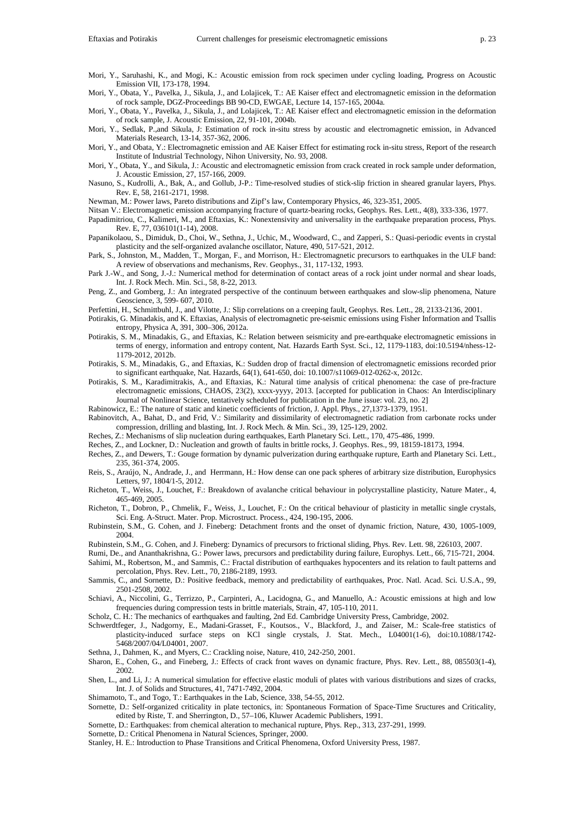- Mori, Y., Saruhashi, K., and Mogi, K.: Acoustic emission from rock specimen under cycling loading, Progress on Acoustic Emission VII, 173-178, 1994.
- Mori, Y., Obata, Y., Pavelka, J., Sikula, J., and Lolajicek, T.: AE Kaiser effect and electromagnetic emission in the deformation of rock sample, DGZ-Proceedings BB 90-CD, EWGAE, Lecture 14, 157-165, 2004a.
- Mori, Y., Obata, Y., Pavelka, J., Sikula, J., and Lolajicek, T.: AE Kaiser effect and electromagnetic emission in the deformation of rock sample, J. Acoustic Emission, 22, 91-101, 2004b.
- Mori, Y., Sedlak, P.,and Sikula, J: Estimation of rock in-situ stress by acoustic and electromagnetic emission, in Advanced Materials Research, 13-14, 357-362, 2006.
- Mori, Y., and Obata, Y.: Electromagnetic emission and AE Kaiser Effect for estimating rock in-situ stress, Report of the research Institute of Industrial Technology, Nihon University, No. 93, 2008.
- Mori, Y., Obata, Y., and Sikula, J.: Acoustic and electromagnetic emission from crack created in rock sample under deformation, J. Acoustic Emission, 27, 157-166, 2009.
- Nasuno, S., Kudrolli, A., Bak, A., and Gollub, J-P.: Time-resolved studies of stick-slip friction in sheared granular layers, Phys. Rev. E, 58, 2161-2171, 1998.

Newman, M.: Power laws, Pareto distributions and Zipf's law, Contemporary Physics, 46, 323-351, 2005.

- Nitsan V.: Electromagnetic emission accompanying fracture of quartz-bearing rocks, Geophys. Res. Lett., 4(8), 333-336, 1977.
- Papadimitriou, C., Kalimeri, Μ., and Eftaxias, K.: Nonextensivity and universality in the earthquake preparation process, Phys. Rev. E, 77, 036101(1-14), 2008.
- Papanikolaou, S., Dimiduk, D., Choi, W., Sethna, J., Uchic, M., Woodward, C., and Zapperi, S.: Quasi-periodic events in crystal plasticity and the self-organized avalanche oscillator, Nature, 490, 517-521, 2012.
- Park, S., Johnston, M., Madden, T., Morgan, F., and Morrison, H.: Electromagnetic precursors to earthquakes in the ULF band: A review of observations and mechanisms, Rev. Geophys., 31, 117-132, 1993.
- Park J.-W., and Song, J.-J.: Numerical method for determination of contact areas of a rock joint under normal and shear loads, Int. J. Rock Mech. Min. Sci., 58, 8-22, 2013.
- Peng, Z., and Gomberg, J.: An integrated perspective of the continuum between earthquakes and slow-slip phenomena, Nature Geoscience, 3, 599- 607, 2010.
- Perfettini, H., Schmittbuhl, J., and Vilotte, J.: Slip correlations on a creeping fault, Geophys. Res. Lett., 28, 2133-2136, 2001.
- Potirakis, G. Minadakis, and K. Eftaxias, Analysis of electromagnetic pre-seismic emissions using Fisher Information and Tsallis entropy, Physica A, 391, 300–306, 2012a.
- Potirakis, S. M., Minadakis, G., and Eftaxias, K.: Relation between seismicity and pre-earthquake electromagnetic emissions in terms of energy, information and entropy content, Nat. Hazards Earth Syst. Sci., 12, 1179-1183, doi:10.5194/nhess-12- 1179-2012, 2012b.
- Potirakis, S. M., Minadakis, G., and Eftaxias, K.: Sudden drop of fractal dimension of electromagnetic emissions recorded prior to significant earthquake, Nat. Hazards, 64(1), 641-650, doi: 10.1007/s11069-012-0262-x, 2012c.
- Potirakis, S. M., Karadimitrakis, A., and Eftaxias, K.: Natural time analysis of critical phenomena: the case of pre-fracture electromagnetic emissions, CHAOS, 23(2), xxxx-yyyy, 2013. [accepted for publication in Chaos: An Interdisciplinary Journal of Nonlinear Science, tentatively scheduled for publication in the June issue: vol. 23, no. 2]
- Rabinowicz, E.: The nature of static and kinetic coefficients of friction, J. Appl. Phys., 27,1373-1379, 1951.
- Rabinovitch, A., Bahat, D., and Frid, V.: Similarity and dissimilarity of electromagnetic radiation from carbonate rocks under compression, drilling and blasting, Int. J. Rock Mech. & Min. Sci., 39, 125-129, 2002.
- Reches, Z.: Mechanisms of slip nucleation during earthquakes, Earth Planetary Sci. Lett., 170, 475-486, 1999.
- Reches, Z., and Lockner, D.: Nucleation and growth of faults in brittle rocks, J. Geophys. Res., 99, 18159-18173, 1994.
- Reches, Z., and Dewers, T.: Gouge formation by dynamic pulverization during earthquake rupture, Earth and Planetary Sci. Lett.,
	- 235, 361-374, 2005.
- Reis, S., Araújo, N., Andrade, J., and Herrmann, H.: How dense can one pack spheres of arbitrary size distribution, Europhysics Letters, 97, 1804/1-5, 2012.
- Richeton, T., Weiss, J., Louchet, F.: Breakdown of avalanche critical behaviour in polycrystalline plasticity, Nature Mater., 4, 465-469, 2005.
- Richeton, T., Dobron, P., Chmelik, F., Weiss, J., Louchet, F.: On the critical behaviour of plasticity in metallic single crystals, Sci. Eng. A-Struct. Mater. Prop. Microstruct. Process., 424, 190-195, 2006.
- Rubinstein, S.M., G. Cohen, and J. Fineberg: Detachment fronts and the onset of dynamic friction, Nature, 430, 1005-1009, 2004.
- Rubinstein, S.M., G. Cohen, and J. Fineberg: Dynamics of precursors to frictional sliding, Phys. Rev. Lett. 98, 226103, 2007.
- Rumi, De., and Ananthakrishna, G.: Power laws, precursors and predictability during failure, Europhys. Lett., 66, 715-721, 2004.
- Sahimi, M., Robertson, M., and Sammis, C.: Fractal distribution of earthquakes hypocenters and its relation to fault patterns and percolation, Phys. Rev. Lett., 70, 2186-2189, 1993.
- Sammis, C., and Sornette, D.: Positive feedback, memory and predictability of earthquakes, Proc. Natl. Acad. Sci. U.S.A., 99, 2501-2508, 2002.
- Schiavi, A., Niccolini, G., Terrizzo, P., Carpinteri, A., Lacidogna, G., and Manuello, A.: Acoustic emissions at high and low frequencies during compression tests in brittle materials, Strain, 47, 105-110, 2011.
- Scholz, C. H.: The mechanics of earthquakes and faulting, 2nd Ed. Cambridge University Press, Cambridge, 2002.
- Schwerdtfeger, J., Nadgorny, E., Madani-Grasset, F., Koutsos., V., Blackford, J., and Zaiser, M.: Scale-free statistics of plasticity-induced surface steps on KCl single crystals, J. Stat. Mech., L04001(1-6), doi:10.1088/1742- 5468/2007/04/L04001, 2007.
- Sethna, J., Dahmen, K., and Myers, C.: Crackling noise, Nature, 410, 242-250, 2001.
- Sharon, E., Cohen, G., and Fineberg, J.: Effects of crack front waves on dynamic fracture, Phys. Rev. Lett., 88, 085503(1-4), 2002.
- Shen, L., and Li, J.: A numerical simulation for effective elastic moduli of plates with various distributions and sizes of cracks, Int. J. of Solids and Structures, 41, 7471-7492, 2004.
- Shimamoto, T., and Togo, T.: Earthquakes in the Lab, Science, 338, 54-55, 2012.
- Sornette, D.: Self-organized criticality in plate tectonics, in: Spontaneous Formation of Space-Time Sructures and Criticality, edited by Riste, T. and Sherrington, D., 57–106, Kluwer Academic Publishers, 1991.
- Sornette, D.: Earthquakes: from chemical alteration to mechanical rupture, Phys. Rep., 313, 237-291, 1999.
- Sornette, D.: Critical Phenomena in Natural Sciences, Springer, 2000.
- Stanley, H. E.: Introduction to Phase Transitions and Critical Phenomena, Oxford University Press, 1987.